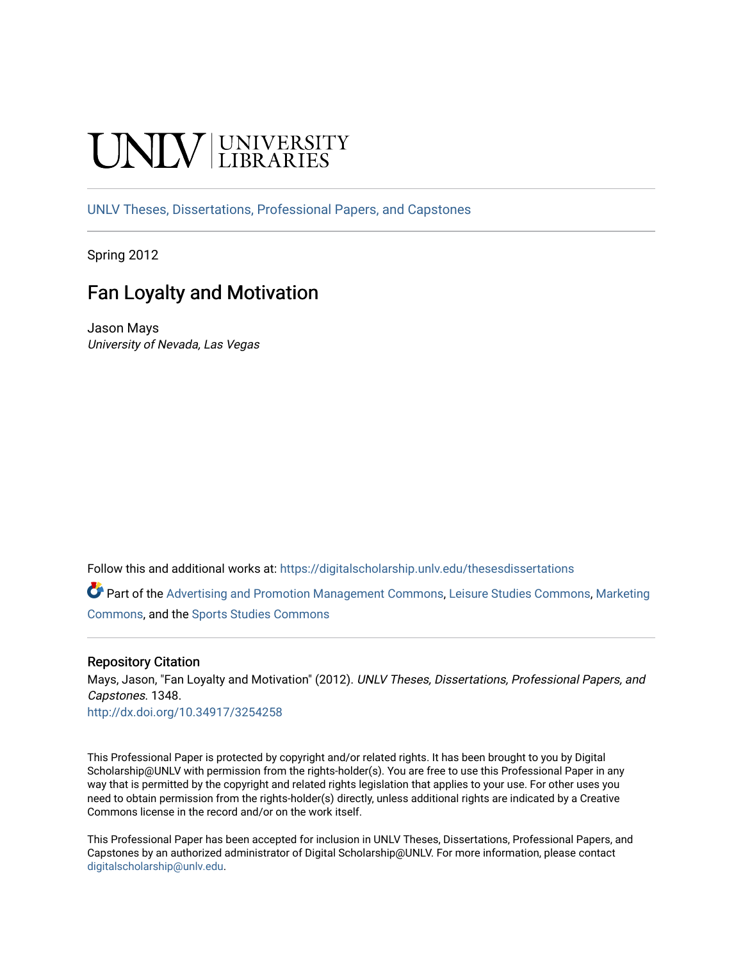# **INIVERSITY**

[UNLV Theses, Dissertations, Professional Papers, and Capstones](https://digitalscholarship.unlv.edu/thesesdissertations)

Spring 2012

# Fan Loyalty and Motivation

Jason Mays University of Nevada, Las Vegas

Follow this and additional works at: [https://digitalscholarship.unlv.edu/thesesdissertations](https://digitalscholarship.unlv.edu/thesesdissertations?utm_source=digitalscholarship.unlv.edu%2Fthesesdissertations%2F1348&utm_medium=PDF&utm_campaign=PDFCoverPages)

Part of the [Advertising and Promotion Management Commons,](http://network.bepress.com/hgg/discipline/626?utm_source=digitalscholarship.unlv.edu%2Fthesesdissertations%2F1348&utm_medium=PDF&utm_campaign=PDFCoverPages) [Leisure Studies Commons,](http://network.bepress.com/hgg/discipline/1197?utm_source=digitalscholarship.unlv.edu%2Fthesesdissertations%2F1348&utm_medium=PDF&utm_campaign=PDFCoverPages) [Marketing](http://network.bepress.com/hgg/discipline/638?utm_source=digitalscholarship.unlv.edu%2Fthesesdissertations%2F1348&utm_medium=PDF&utm_campaign=PDFCoverPages)  [Commons](http://network.bepress.com/hgg/discipline/638?utm_source=digitalscholarship.unlv.edu%2Fthesesdissertations%2F1348&utm_medium=PDF&utm_campaign=PDFCoverPages), and the [Sports Studies Commons](http://network.bepress.com/hgg/discipline/1198?utm_source=digitalscholarship.unlv.edu%2Fthesesdissertations%2F1348&utm_medium=PDF&utm_campaign=PDFCoverPages) 

# Repository Citation

Mays, Jason, "Fan Loyalty and Motivation" (2012). UNLV Theses, Dissertations, Professional Papers, and Capstones. 1348.

<http://dx.doi.org/10.34917/3254258>

This Professional Paper is protected by copyright and/or related rights. It has been brought to you by Digital Scholarship@UNLV with permission from the rights-holder(s). You are free to use this Professional Paper in any way that is permitted by the copyright and related rights legislation that applies to your use. For other uses you need to obtain permission from the rights-holder(s) directly, unless additional rights are indicated by a Creative Commons license in the record and/or on the work itself.

This Professional Paper has been accepted for inclusion in UNLV Theses, Dissertations, Professional Papers, and Capstones by an authorized administrator of Digital Scholarship@UNLV. For more information, please contact [digitalscholarship@unlv.edu](mailto:digitalscholarship@unlv.edu).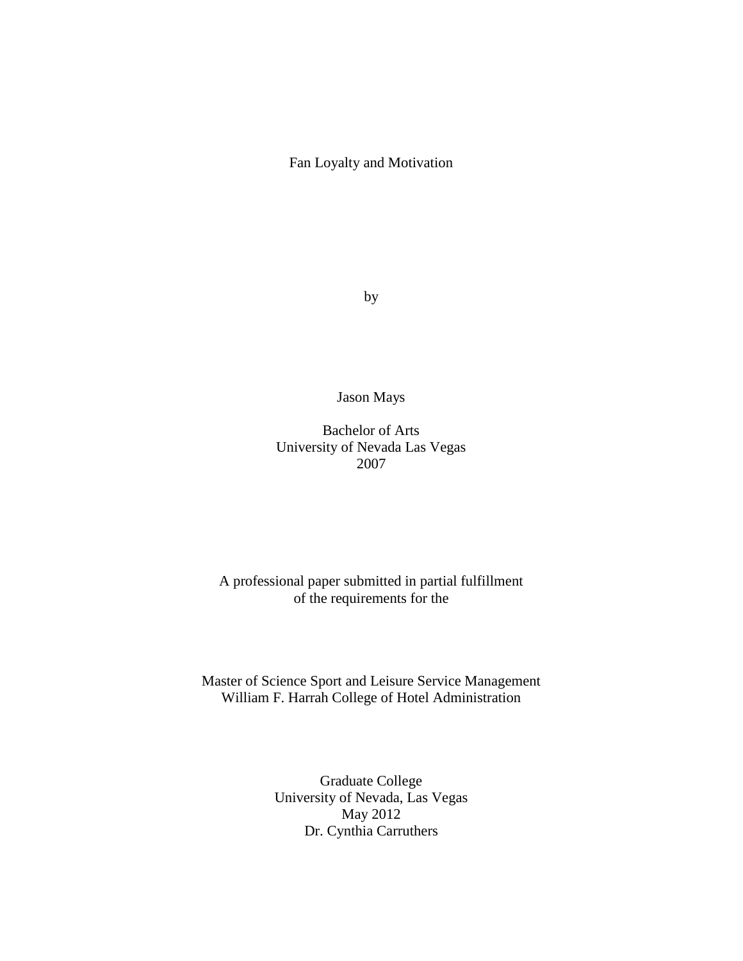Fan Loyalty and Motivation

by

Jason Mays

Bachelor of Arts University of Nevada Las Vegas 2007

# A professional paper submitted in partial fulfillment of the requirements for the

# Master of Science Sport and Leisure Service Management William F. Harrah College of Hotel Administration

Graduate College University of Nevada, Las Vegas May 2012 Dr. Cynthia Carruthers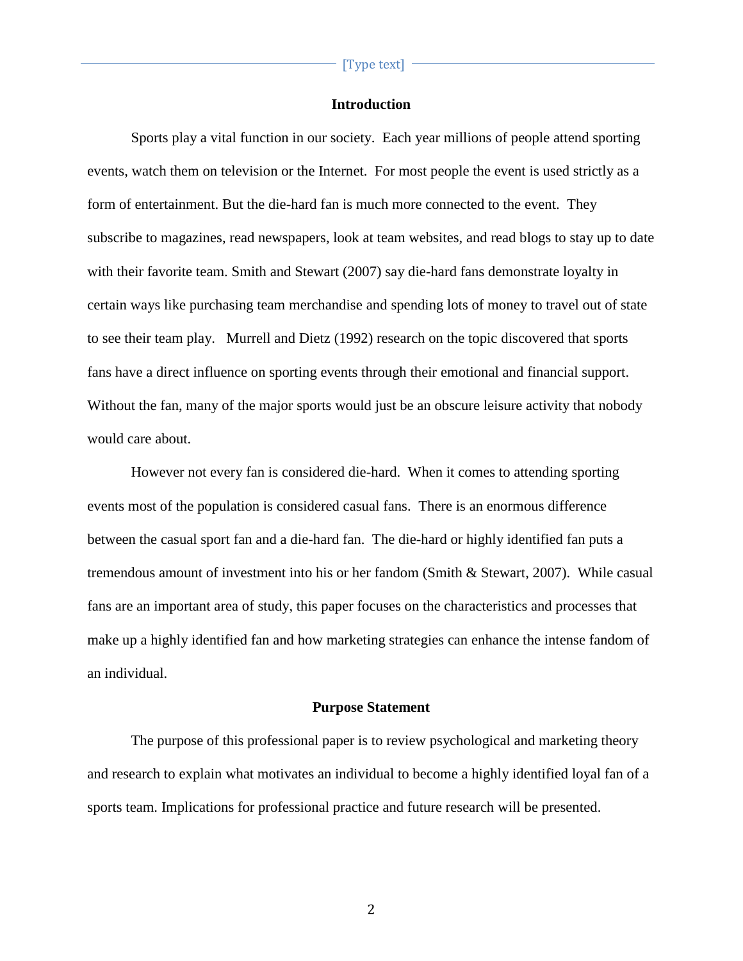# **Introduction**

Sports play a vital function in our society. Each year millions of people attend sporting events, watch them on television or the Internet. For most people the event is used strictly as a form of entertainment. But the die-hard fan is much more connected to the event. They subscribe to magazines, read newspapers, look at team websites, and read blogs to stay up to date with their favorite team. Smith and Stewart (2007) say die-hard fans demonstrate loyalty in certain ways like purchasing team merchandise and spending lots of money to travel out of state to see their team play. Murrell and Dietz (1992) research on the topic discovered that sports fans have a direct influence on sporting events through their emotional and financial support. Without the fan, many of the major sports would just be an obscure leisure activity that nobody would care about.

However not every fan is considered die-hard. When it comes to attending sporting events most of the population is considered casual fans. There is an enormous difference between the casual sport fan and a die-hard fan. The die-hard or highly identified fan puts a tremendous amount of investment into his or her fandom (Smith & Stewart, 2007). While casual fans are an important area of study, this paper focuses on the characteristics and processes that make up a highly identified fan and how marketing strategies can enhance the intense fandom of an individual.

# **Purpose Statement**

The purpose of this professional paper is to review psychological and marketing theory and research to explain what motivates an individual to become a highly identified loyal fan of a sports team. Implications for professional practice and future research will be presented.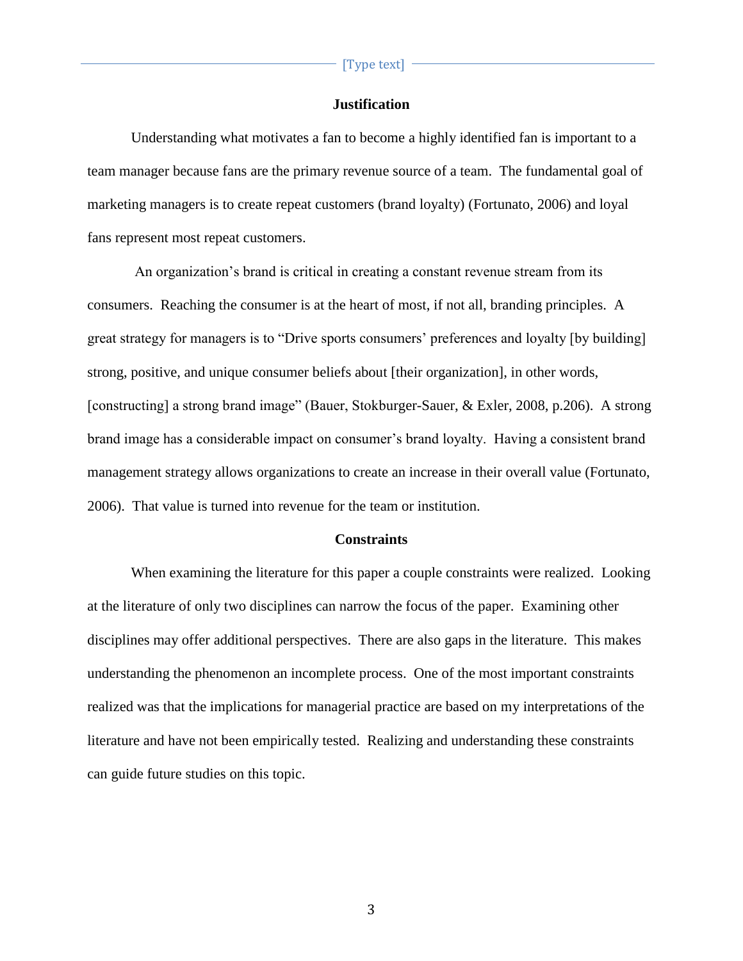# **Justification**

Understanding what motivates a fan to become a highly identified fan is important to a team manager because fans are the primary revenue source of a team. The fundamental goal of marketing managers is to create repeat customers (brand loyalty) (Fortunato, 2006) and loyal fans represent most repeat customers.

An organization's brand is critical in creating a constant revenue stream from its consumers. Reaching the consumer is at the heart of most, if not all, branding principles. A great strategy for managers is to "Drive sports consumers' preferences and loyalty [by building] strong, positive, and unique consumer beliefs about [their organization], in other words, [constructing] a strong brand image" (Bauer, Stokburger-Sauer, & Exler, 2008, p.206). A strong brand image has a considerable impact on consumer's brand loyalty. Having a consistent brand management strategy allows organizations to create an increase in their overall value (Fortunato, 2006). That value is turned into revenue for the team or institution.

### **Constraints**

When examining the literature for this paper a couple constraints were realized. Looking at the literature of only two disciplines can narrow the focus of the paper. Examining other disciplines may offer additional perspectives. There are also gaps in the literature. This makes understanding the phenomenon an incomplete process. One of the most important constraints realized was that the implications for managerial practice are based on my interpretations of the literature and have not been empirically tested. Realizing and understanding these constraints can guide future studies on this topic.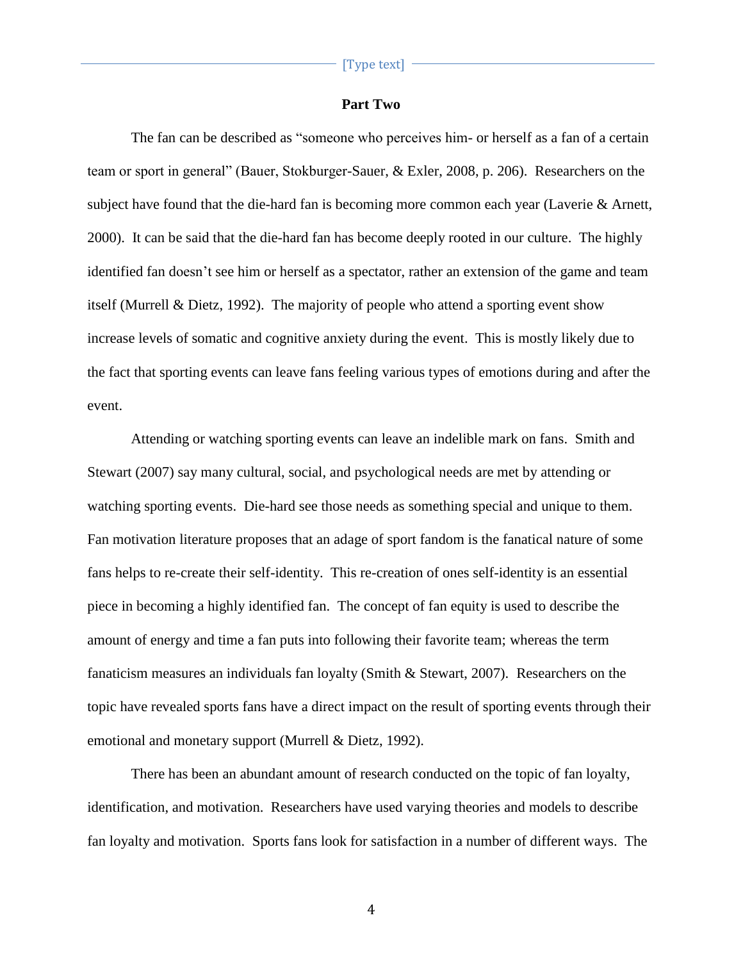# **Part Two**

The fan can be described as "someone who perceives him- or herself as a fan of a certain team or sport in general" (Bauer, Stokburger-Sauer, & Exler, 2008, p. 206). Researchers on the subject have found that the die-hard fan is becoming more common each year (Laverie & Arnett, 2000). It can be said that the die-hard fan has become deeply rooted in our culture. The highly identified fan doesn't see him or herself as a spectator, rather an extension of the game and team itself (Murrell & Dietz, 1992). The majority of people who attend a sporting event show increase levels of somatic and cognitive anxiety during the event. This is mostly likely due to the fact that sporting events can leave fans feeling various types of emotions during and after the event.

Attending or watching sporting events can leave an indelible mark on fans. Smith and Stewart (2007) say many cultural, social, and psychological needs are met by attending or watching sporting events. Die-hard see those needs as something special and unique to them. Fan motivation literature proposes that an adage of sport fandom is the fanatical nature of some fans helps to re-create their self-identity. This re-creation of ones self-identity is an essential piece in becoming a highly identified fan. The concept of fan equity is used to describe the amount of energy and time a fan puts into following their favorite team; whereas the term fanaticism measures an individuals fan loyalty (Smith & Stewart, 2007). Researchers on the topic have revealed sports fans have a direct impact on the result of sporting events through their emotional and monetary support (Murrell & Dietz, 1992).

There has been an abundant amount of research conducted on the topic of fan loyalty, identification, and motivation. Researchers have used varying theories and models to describe fan loyalty and motivation. Sports fans look for satisfaction in a number of different ways. The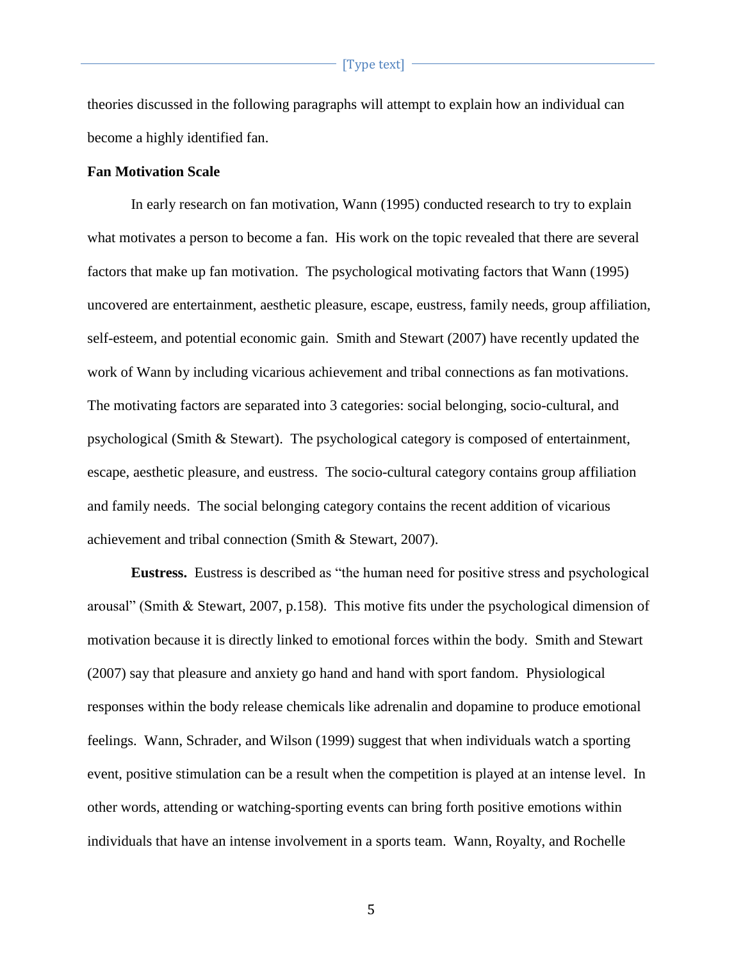theories discussed in the following paragraphs will attempt to explain how an individual can become a highly identified fan.

# **Fan Motivation Scale**

In early research on fan motivation, Wann (1995) conducted research to try to explain what motivates a person to become a fan. His work on the topic revealed that there are several factors that make up fan motivation. The psychological motivating factors that Wann (1995) uncovered are entertainment, aesthetic pleasure, escape, eustress, family needs, group affiliation, self-esteem, and potential economic gain. Smith and Stewart (2007) have recently updated the work of Wann by including vicarious achievement and tribal connections as fan motivations. The motivating factors are separated into 3 categories: social belonging, socio-cultural, and psychological (Smith & Stewart). The psychological category is composed of entertainment, escape, aesthetic pleasure, and eustress. The socio-cultural category contains group affiliation and family needs. The social belonging category contains the recent addition of vicarious achievement and tribal connection (Smith & Stewart, 2007).

**Eustress.** Eustress is described as "the human need for positive stress and psychological arousal" (Smith & Stewart, 2007, p.158). This motive fits under the psychological dimension of motivation because it is directly linked to emotional forces within the body. Smith and Stewart (2007) say that pleasure and anxiety go hand and hand with sport fandom. Physiological responses within the body release chemicals like adrenalin and dopamine to produce emotional feelings. Wann, Schrader, and Wilson (1999) suggest that when individuals watch a sporting event, positive stimulation can be a result when the competition is played at an intense level. In other words, attending or watching-sporting events can bring forth positive emotions within individuals that have an intense involvement in a sports team. Wann, Royalty, and Rochelle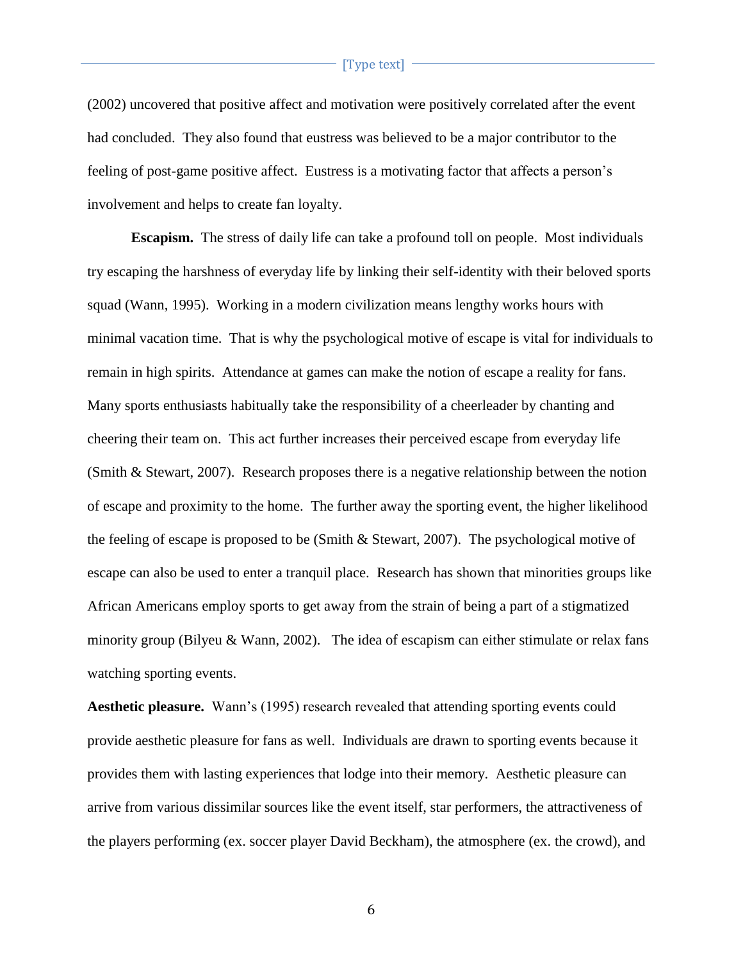(2002) uncovered that positive affect and motivation were positively correlated after the event had concluded. They also found that eustress was believed to be a major contributor to the feeling of post-game positive affect. Eustress is a motivating factor that affects a person's involvement and helps to create fan loyalty.

**Escapism.** The stress of daily life can take a profound toll on people. Most individuals try escaping the harshness of everyday life by linking their self-identity with their beloved sports squad (Wann, 1995). Working in a modern civilization means lengthy works hours with minimal vacation time. That is why the psychological motive of escape is vital for individuals to remain in high spirits. Attendance at games can make the notion of escape a reality for fans. Many sports enthusiasts habitually take the responsibility of a cheerleader by chanting and cheering their team on. This act further increases their perceived escape from everyday life (Smith & Stewart, 2007). Research proposes there is a negative relationship between the notion of escape and proximity to the home. The further away the sporting event, the higher likelihood the feeling of escape is proposed to be (Smith & Stewart, 2007). The psychological motive of escape can also be used to enter a tranquil place. Research has shown that minorities groups like African Americans employ sports to get away from the strain of being a part of a stigmatized minority group (Bilyeu & Wann, 2002). The idea of escapism can either stimulate or relax fans watching sporting events.

**Aesthetic pleasure.** Wann's (1995) research revealed that attending sporting events could provide aesthetic pleasure for fans as well. Individuals are drawn to sporting events because it provides them with lasting experiences that lodge into their memory. Aesthetic pleasure can arrive from various dissimilar sources like the event itself, star performers, the attractiveness of the players performing (ex. soccer player David Beckham), the atmosphere (ex. the crowd), and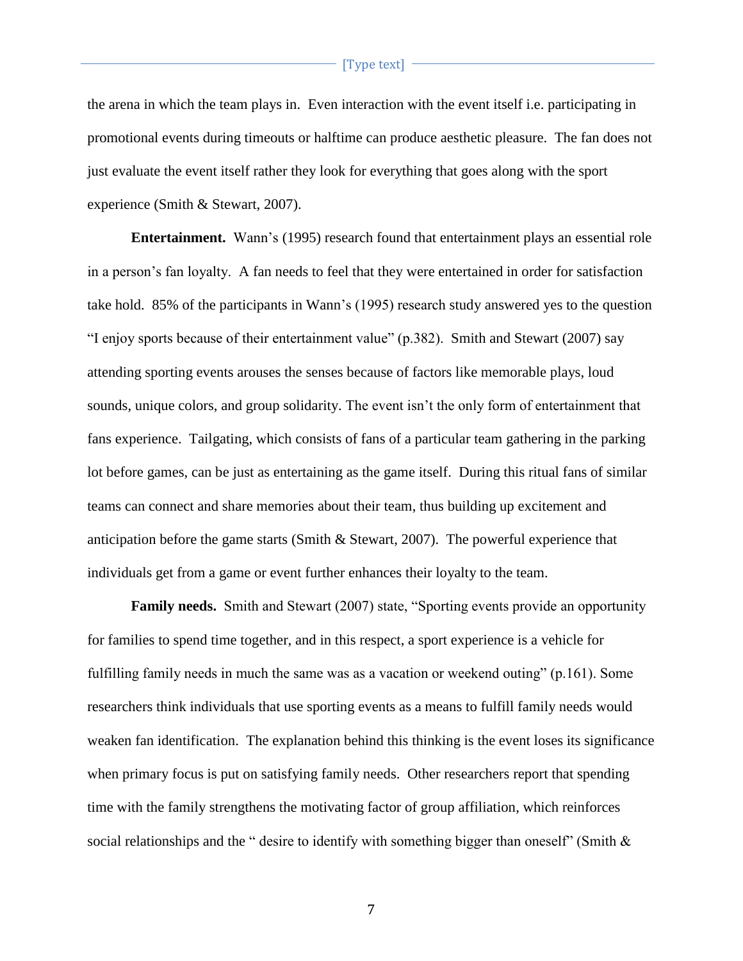the arena in which the team plays in. Even interaction with the event itself i.e. participating in promotional events during timeouts or halftime can produce aesthetic pleasure. The fan does not just evaluate the event itself rather they look for everything that goes along with the sport experience (Smith & Stewart, 2007).

**Entertainment.** Wann's (1995) research found that entertainment plays an essential role in a person's fan loyalty. A fan needs to feel that they were entertained in order for satisfaction take hold. 85% of the participants in Wann's (1995) research study answered yes to the question "I enjoy sports because of their entertainment value" (p.382). Smith and Stewart (2007) say attending sporting events arouses the senses because of factors like memorable plays, loud sounds, unique colors, and group solidarity. The event isn't the only form of entertainment that fans experience. Tailgating, which consists of fans of a particular team gathering in the parking lot before games, can be just as entertaining as the game itself. During this ritual fans of similar teams can connect and share memories about their team, thus building up excitement and anticipation before the game starts (Smith & Stewart, 2007). The powerful experience that individuals get from a game or event further enhances their loyalty to the team.

**Family needs.** Smith and Stewart (2007) state, "Sporting events provide an opportunity for families to spend time together, and in this respect, a sport experience is a vehicle for fulfilling family needs in much the same was as a vacation or weekend outing" (p.161). Some researchers think individuals that use sporting events as a means to fulfill family needs would weaken fan identification. The explanation behind this thinking is the event loses its significance when primary focus is put on satisfying family needs. Other researchers report that spending time with the family strengthens the motivating factor of group affiliation, which reinforces social relationships and the " desire to identify with something bigger than oneself" (Smith  $\&$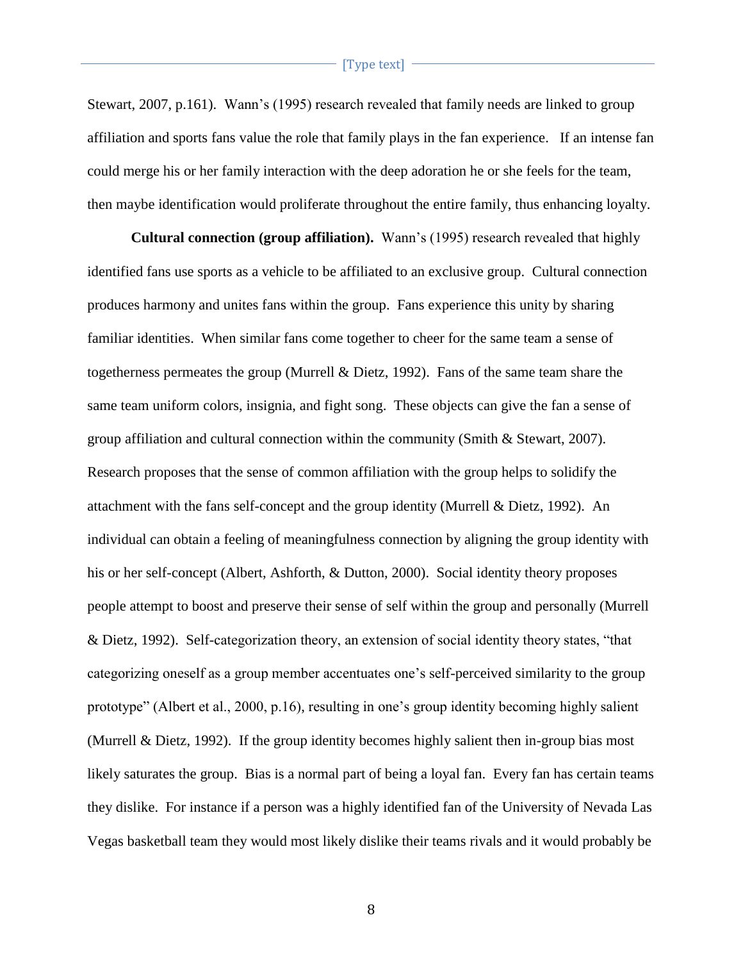Stewart, 2007, p.161). Wann's (1995) research revealed that family needs are linked to group affiliation and sports fans value the role that family plays in the fan experience. If an intense fan could merge his or her family interaction with the deep adoration he or she feels for the team, then maybe identification would proliferate throughout the entire family, thus enhancing loyalty.

**Cultural connection (group affiliation).** Wann's (1995) research revealed that highly identified fans use sports as a vehicle to be affiliated to an exclusive group. Cultural connection produces harmony and unites fans within the group. Fans experience this unity by sharing familiar identities. When similar fans come together to cheer for the same team a sense of togetherness permeates the group (Murrell & Dietz, 1992). Fans of the same team share the same team uniform colors, insignia, and fight song. These objects can give the fan a sense of group affiliation and cultural connection within the community (Smith & Stewart, 2007). Research proposes that the sense of common affiliation with the group helps to solidify the attachment with the fans self-concept and the group identity (Murrell & Dietz, 1992). An individual can obtain a feeling of meaningfulness connection by aligning the group identity with his or her self-concept (Albert, Ashforth, & Dutton, 2000). Social identity theory proposes people attempt to boost and preserve their sense of self within the group and personally (Murrell & Dietz, 1992). Self-categorization theory, an extension of social identity theory states, "that categorizing oneself as a group member accentuates one's self-perceived similarity to the group prototype" (Albert et al., 2000, p.16), resulting in one's group identity becoming highly salient (Murrell & Dietz, 1992). If the group identity becomes highly salient then in-group bias most likely saturates the group. Bias is a normal part of being a loyal fan. Every fan has certain teams they dislike. For instance if a person was a highly identified fan of the University of Nevada Las Vegas basketball team they would most likely dislike their teams rivals and it would probably be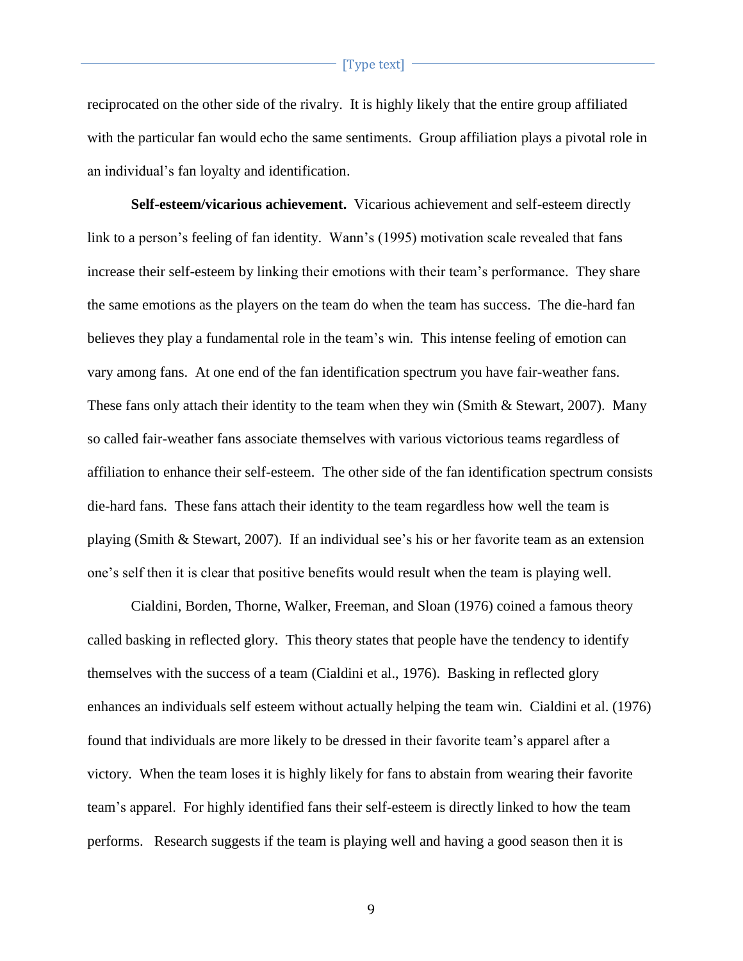reciprocated on the other side of the rivalry. It is highly likely that the entire group affiliated with the particular fan would echo the same sentiments. Group affiliation plays a pivotal role in an individual's fan loyalty and identification.

**Self-esteem/vicarious achievement.** Vicarious achievement and self-esteem directly link to a person's feeling of fan identity. Wann's (1995) motivation scale revealed that fans increase their self-esteem by linking their emotions with their team's performance. They share the same emotions as the players on the team do when the team has success. The die-hard fan believes they play a fundamental role in the team's win. This intense feeling of emotion can vary among fans. At one end of the fan identification spectrum you have fair-weather fans. These fans only attach their identity to the team when they win (Smith & Stewart, 2007). Many so called fair-weather fans associate themselves with various victorious teams regardless of affiliation to enhance their self-esteem. The other side of the fan identification spectrum consists die-hard fans. These fans attach their identity to the team regardless how well the team is playing (Smith & Stewart, 2007). If an individual see's his or her favorite team as an extension one's self then it is clear that positive benefits would result when the team is playing well.

Cialdini, Borden, Thorne, Walker, Freeman, and Sloan (1976) coined a famous theory called basking in reflected glory. This theory states that people have the tendency to identify themselves with the success of a team (Cialdini et al., 1976). Basking in reflected glory enhances an individuals self esteem without actually helping the team win. Cialdini et al. (1976) found that individuals are more likely to be dressed in their favorite team's apparel after a victory. When the team loses it is highly likely for fans to abstain from wearing their favorite team's apparel. For highly identified fans their self-esteem is directly linked to how the team performs. Research suggests if the team is playing well and having a good season then it is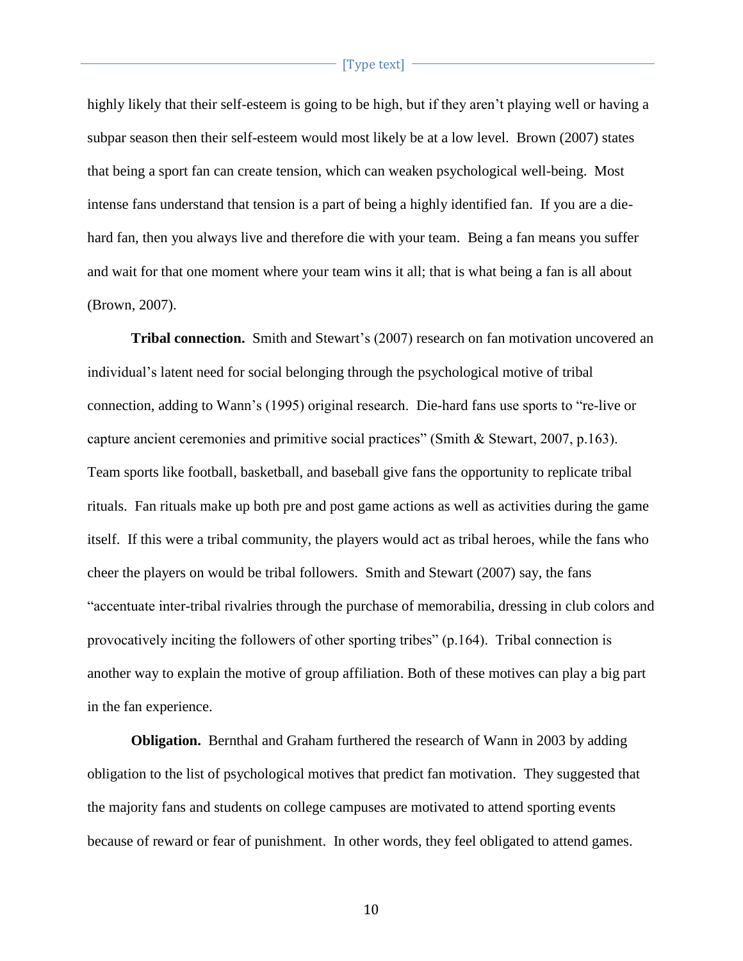highly likely that their self-esteem is going to be high, but if they aren't playing well or having a subpar season then their self-esteem would most likely be at a low level. Brown (2007) states that being a sport fan can create tension, which can weaken psychological well-being. Most intense fans understand that tension is a part of being a highly identified fan. If you are a diehard fan, then you always live and therefore die with your team. Being a fan means you suffer and wait for that one moment where your team wins it all; that is what being a fan is all about (Brown, 2007).

**Tribal connection.** Smith and Stewart's (2007) research on fan motivation uncovered an individual's latent need for social belonging through the psychological motive of tribal connection, adding to Wann's (1995) original research. Die-hard fans use sports to "re-live or capture ancient ceremonies and primitive social practices" (Smith & Stewart, 2007, p.163). Team sports like football, basketball, and baseball give fans the opportunity to replicate tribal rituals. Fan rituals make up both pre and post game actions as well as activities during the game itself. If this were a tribal community, the players would act as tribal heroes, while the fans who cheer the players on would be tribal followers. Smith and Stewart (2007) say, the fans "accentuate inter-tribal rivalries through the purchase of memorabilia, dressing in club colors and provocatively inciting the followers of other sporting tribes" (p.164). Tribal connection is another way to explain the motive of group affiliation. Both of these motives can play a big part in the fan experience.

**Obligation.** Bernthal and Graham furthered the research of Wann in 2003 by adding obligation to the list of psychological motives that predict fan motivation. They suggested that the majority fans and students on college campuses are motivated to attend sporting events because of reward or fear of punishment. In other words, they feel obligated to attend games.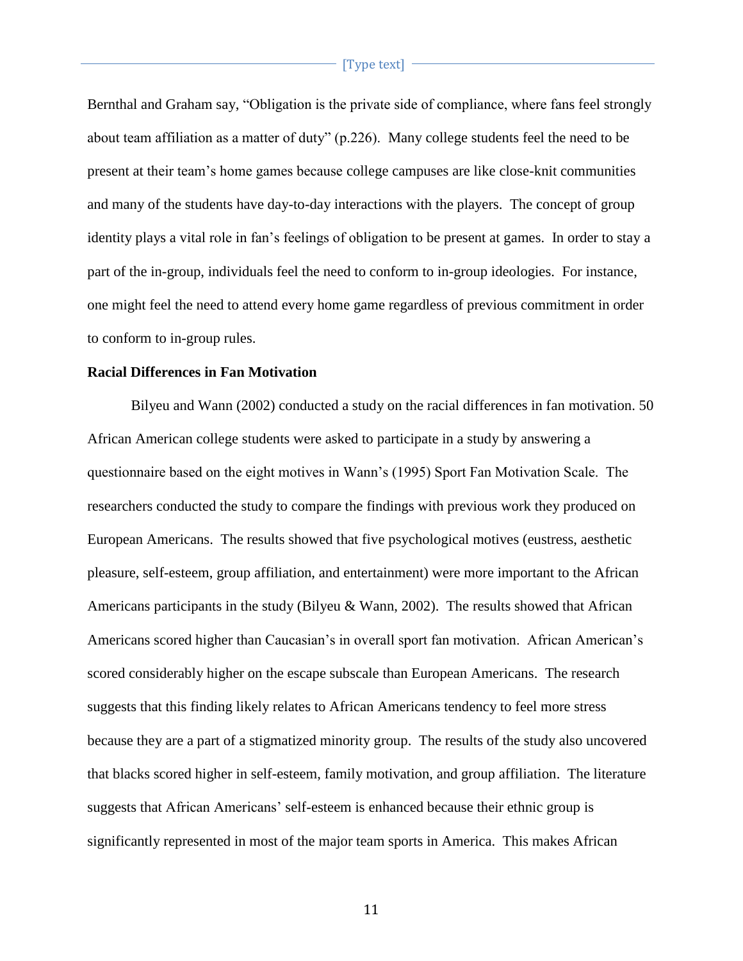Bernthal and Graham say, "Obligation is the private side of compliance, where fans feel strongly about team affiliation as a matter of duty" (p.226). Many college students feel the need to be present at their team's home games because college campuses are like close-knit communities and many of the students have day-to-day interactions with the players. The concept of group identity plays a vital role in fan's feelings of obligation to be present at games. In order to stay a part of the in-group, individuals feel the need to conform to in-group ideologies. For instance, one might feel the need to attend every home game regardless of previous commitment in order to conform to in-group rules.

# **Racial Differences in Fan Motivation**

Bilyeu and Wann (2002) conducted a study on the racial differences in fan motivation. 50 African American college students were asked to participate in a study by answering a questionnaire based on the eight motives in Wann's (1995) Sport Fan Motivation Scale. The researchers conducted the study to compare the findings with previous work they produced on European Americans. The results showed that five psychological motives (eustress, aesthetic pleasure, self-esteem, group affiliation, and entertainment) were more important to the African Americans participants in the study (Bilyeu & Wann, 2002). The results showed that African Americans scored higher than Caucasian's in overall sport fan motivation. African American's scored considerably higher on the escape subscale than European Americans. The research suggests that this finding likely relates to African Americans tendency to feel more stress because they are a part of a stigmatized minority group. The results of the study also uncovered that blacks scored higher in self-esteem, family motivation, and group affiliation. The literature suggests that African Americans' self-esteem is enhanced because their ethnic group is significantly represented in most of the major team sports in America. This makes African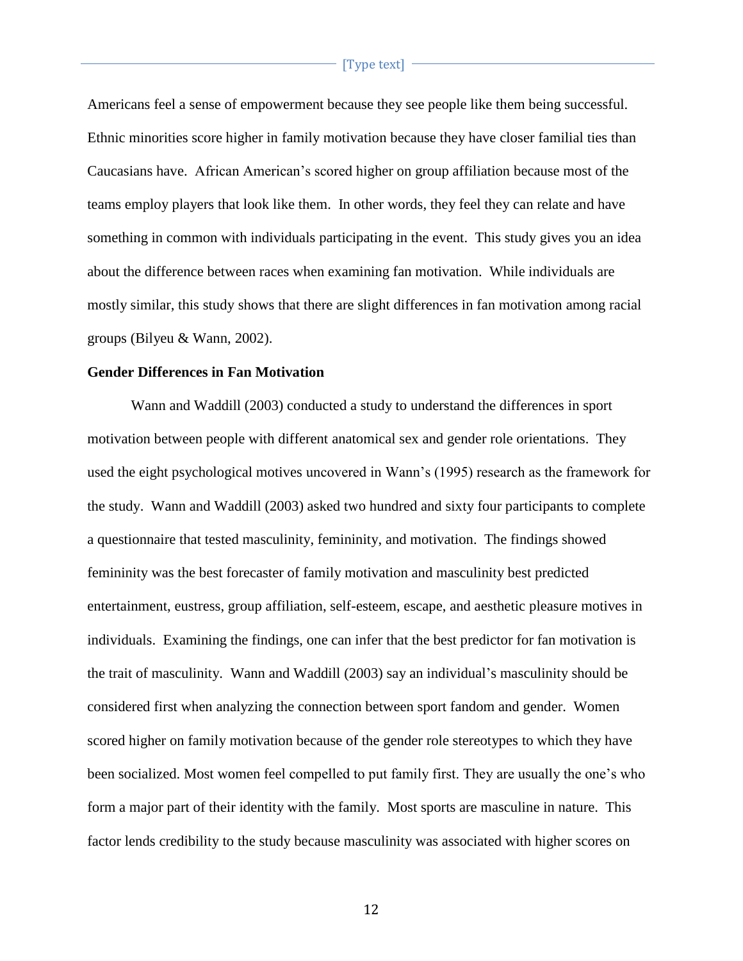Americans feel a sense of empowerment because they see people like them being successful. Ethnic minorities score higher in family motivation because they have closer familial ties than Caucasians have. African American's scored higher on group affiliation because most of the teams employ players that look like them. In other words, they feel they can relate and have something in common with individuals participating in the event. This study gives you an idea about the difference between races when examining fan motivation. While individuals are mostly similar, this study shows that there are slight differences in fan motivation among racial groups (Bilyeu & Wann, 2002).

# **Gender Differences in Fan Motivation**

Wann and Waddill (2003) conducted a study to understand the differences in sport motivation between people with different anatomical sex and gender role orientations. They used the eight psychological motives uncovered in Wann's (1995) research as the framework for the study. Wann and Waddill (2003) asked two hundred and sixty four participants to complete a questionnaire that tested masculinity, femininity, and motivation. The findings showed femininity was the best forecaster of family motivation and masculinity best predicted entertainment, eustress, group affiliation, self-esteem, escape, and aesthetic pleasure motives in individuals. Examining the findings, one can infer that the best predictor for fan motivation is the trait of masculinity. Wann and Waddill (2003) say an individual's masculinity should be considered first when analyzing the connection between sport fandom and gender. Women scored higher on family motivation because of the gender role stereotypes to which they have been socialized. Most women feel compelled to put family first. They are usually the one's who form a major part of their identity with the family. Most sports are masculine in nature. This factor lends credibility to the study because masculinity was associated with higher scores on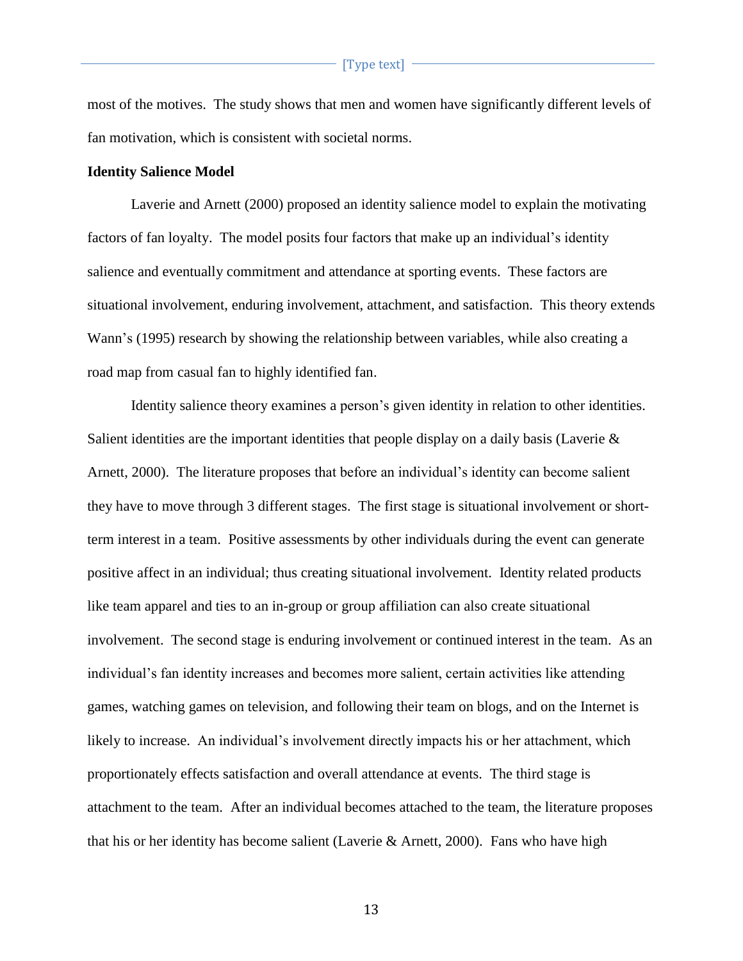most of the motives. The study shows that men and women have significantly different levels of fan motivation, which is consistent with societal norms.

#### **Identity Salience Model**

Laverie and Arnett (2000) proposed an identity salience model to explain the motivating factors of fan loyalty. The model posits four factors that make up an individual's identity salience and eventually commitment and attendance at sporting events. These factors are situational involvement, enduring involvement, attachment, and satisfaction. This theory extends Wann's (1995) research by showing the relationship between variables, while also creating a road map from casual fan to highly identified fan.

Identity salience theory examines a person's given identity in relation to other identities. Salient identities are the important identities that people display on a daily basis (Laverie & Arnett, 2000). The literature proposes that before an individual's identity can become salient they have to move through 3 different stages. The first stage is situational involvement or shortterm interest in a team. Positive assessments by other individuals during the event can generate positive affect in an individual; thus creating situational involvement. Identity related products like team apparel and ties to an in-group or group affiliation can also create situational involvement. The second stage is enduring involvement or continued interest in the team. As an individual's fan identity increases and becomes more salient, certain activities like attending games, watching games on television, and following their team on blogs, and on the Internet is likely to increase. An individual's involvement directly impacts his or her attachment, which proportionately effects satisfaction and overall attendance at events. The third stage is attachment to the team. After an individual becomes attached to the team, the literature proposes that his or her identity has become salient (Laverie & Arnett, 2000). Fans who have high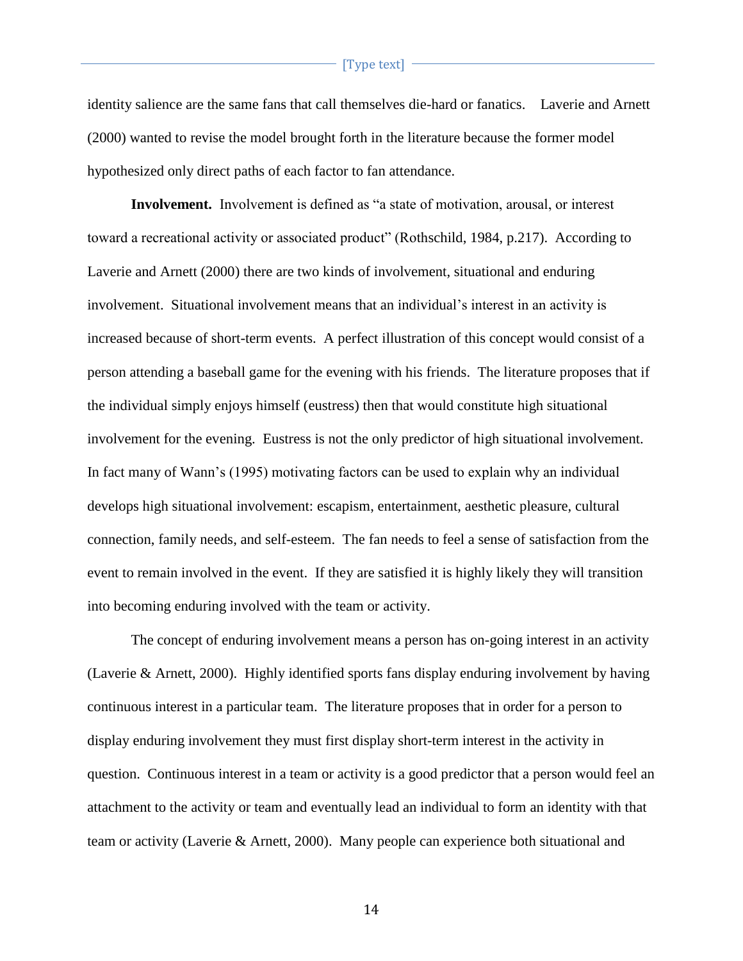identity salience are the same fans that call themselves die-hard or fanatics. Laverie and Arnett (2000) wanted to revise the model brought forth in the literature because the former model hypothesized only direct paths of each factor to fan attendance.

**Involvement.** Involvement is defined as "a state of motivation, arousal, or interest toward a recreational activity or associated product" (Rothschild, 1984, p.217). According to Laverie and Arnett (2000) there are two kinds of involvement, situational and enduring involvement. Situational involvement means that an individual's interest in an activity is increased because of short-term events. A perfect illustration of this concept would consist of a person attending a baseball game for the evening with his friends. The literature proposes that if the individual simply enjoys himself (eustress) then that would constitute high situational involvement for the evening. Eustress is not the only predictor of high situational involvement. In fact many of Wann's (1995) motivating factors can be used to explain why an individual develops high situational involvement: escapism, entertainment, aesthetic pleasure, cultural connection, family needs, and self-esteem. The fan needs to feel a sense of satisfaction from the event to remain involved in the event. If they are satisfied it is highly likely they will transition into becoming enduring involved with the team or activity.

The concept of enduring involvement means a person has on-going interest in an activity (Laverie & Arnett, 2000). Highly identified sports fans display enduring involvement by having continuous interest in a particular team. The literature proposes that in order for a person to display enduring involvement they must first display short-term interest in the activity in question. Continuous interest in a team or activity is a good predictor that a person would feel an attachment to the activity or team and eventually lead an individual to form an identity with that team or activity (Laverie & Arnett, 2000). Many people can experience both situational and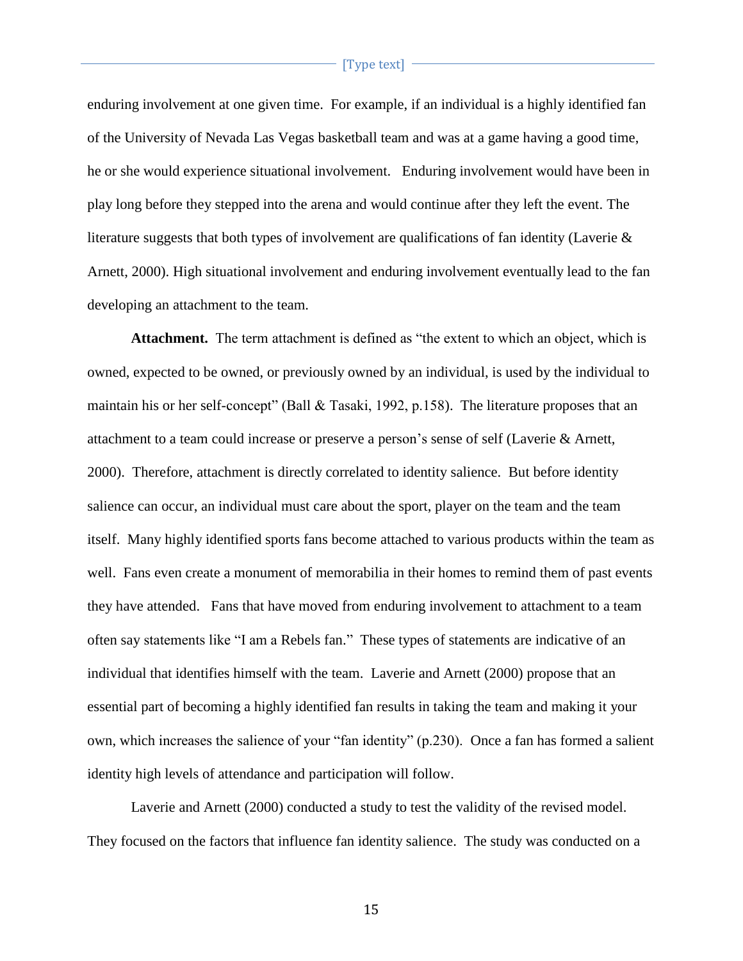enduring involvement at one given time. For example, if an individual is a highly identified fan of the University of Nevada Las Vegas basketball team and was at a game having a good time, he or she would experience situational involvement. Enduring involvement would have been in play long before they stepped into the arena and would continue after they left the event. The literature suggests that both types of involvement are qualifications of fan identity (Laverie & Arnett, 2000). High situational involvement and enduring involvement eventually lead to the fan developing an attachment to the team.

**Attachment.** The term attachment is defined as "the extent to which an object, which is owned, expected to be owned, or previously owned by an individual, is used by the individual to maintain his or her self-concept" (Ball & Tasaki, 1992, p.158). The literature proposes that an attachment to a team could increase or preserve a person's sense of self (Laverie & Arnett, 2000). Therefore, attachment is directly correlated to identity salience. But before identity salience can occur, an individual must care about the sport, player on the team and the team itself. Many highly identified sports fans become attached to various products within the team as well. Fans even create a monument of memorabilia in their homes to remind them of past events they have attended. Fans that have moved from enduring involvement to attachment to a team often say statements like "I am a Rebels fan." These types of statements are indicative of an individual that identifies himself with the team. Laverie and Arnett (2000) propose that an essential part of becoming a highly identified fan results in taking the team and making it your own, which increases the salience of your "fan identity" (p.230). Once a fan has formed a salient identity high levels of attendance and participation will follow.

Laverie and Arnett (2000) conducted a study to test the validity of the revised model. They focused on the factors that influence fan identity salience. The study was conducted on a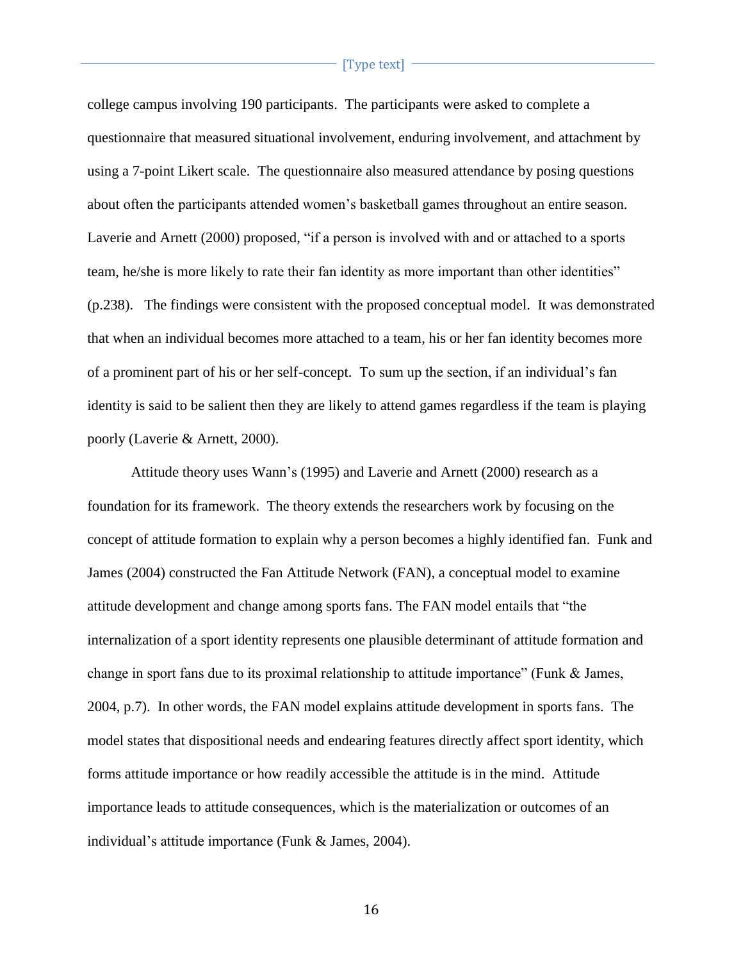college campus involving 190 participants. The participants were asked to complete a questionnaire that measured situational involvement, enduring involvement, and attachment by using a 7-point Likert scale. The questionnaire also measured attendance by posing questions about often the participants attended women's basketball games throughout an entire season. Laverie and Arnett (2000) proposed, "if a person is involved with and or attached to a sports team, he/she is more likely to rate their fan identity as more important than other identities" (p.238). The findings were consistent with the proposed conceptual model. It was demonstrated that when an individual becomes more attached to a team, his or her fan identity becomes more of a prominent part of his or her self-concept. To sum up the section, if an individual's fan identity is said to be salient then they are likely to attend games regardless if the team is playing poorly (Laverie & Arnett, 2000).

Attitude theory uses Wann's (1995) and Laverie and Arnett (2000) research as a foundation for its framework. The theory extends the researchers work by focusing on the concept of attitude formation to explain why a person becomes a highly identified fan. Funk and James (2004) constructed the Fan Attitude Network (FAN), a conceptual model to examine attitude development and change among sports fans. The FAN model entails that "the internalization of a sport identity represents one plausible determinant of attitude formation and change in sport fans due to its proximal relationship to attitude importance" (Funk & James, 2004, p.7). In other words, the FAN model explains attitude development in sports fans. The model states that dispositional needs and endearing features directly affect sport identity, which forms attitude importance or how readily accessible the attitude is in the mind. Attitude importance leads to attitude consequences, which is the materialization or outcomes of an individual's attitude importance (Funk & James, 2004).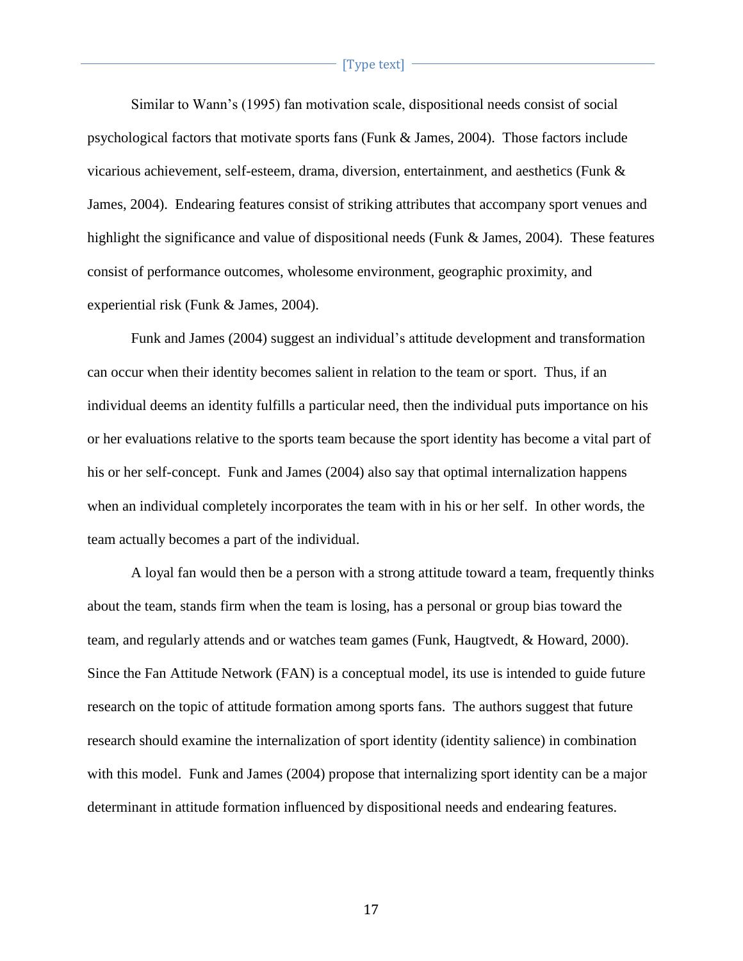Similar to Wann's (1995) fan motivation scale, dispositional needs consist of social psychological factors that motivate sports fans (Funk & James, 2004). Those factors include vicarious achievement, self-esteem, drama, diversion, entertainment, and aesthetics (Funk & James, 2004). Endearing features consist of striking attributes that accompany sport venues and highlight the significance and value of dispositional needs (Funk & James, 2004). These features consist of performance outcomes, wholesome environment, geographic proximity, and experiential risk (Funk & James, 2004).

Funk and James (2004) suggest an individual's attitude development and transformation can occur when their identity becomes salient in relation to the team or sport. Thus, if an individual deems an identity fulfills a particular need, then the individual puts importance on his or her evaluations relative to the sports team because the sport identity has become a vital part of his or her self-concept. Funk and James (2004) also say that optimal internalization happens when an individual completely incorporates the team with in his or her self. In other words, the team actually becomes a part of the individual.

A loyal fan would then be a person with a strong attitude toward a team, frequently thinks about the team, stands firm when the team is losing, has a personal or group bias toward the team, and regularly attends and or watches team games (Funk, Haugtvedt, & Howard, 2000). Since the Fan Attitude Network (FAN) is a conceptual model, its use is intended to guide future research on the topic of attitude formation among sports fans. The authors suggest that future research should examine the internalization of sport identity (identity salience) in combination with this model. Funk and James (2004) propose that internalizing sport identity can be a major determinant in attitude formation influenced by dispositional needs and endearing features.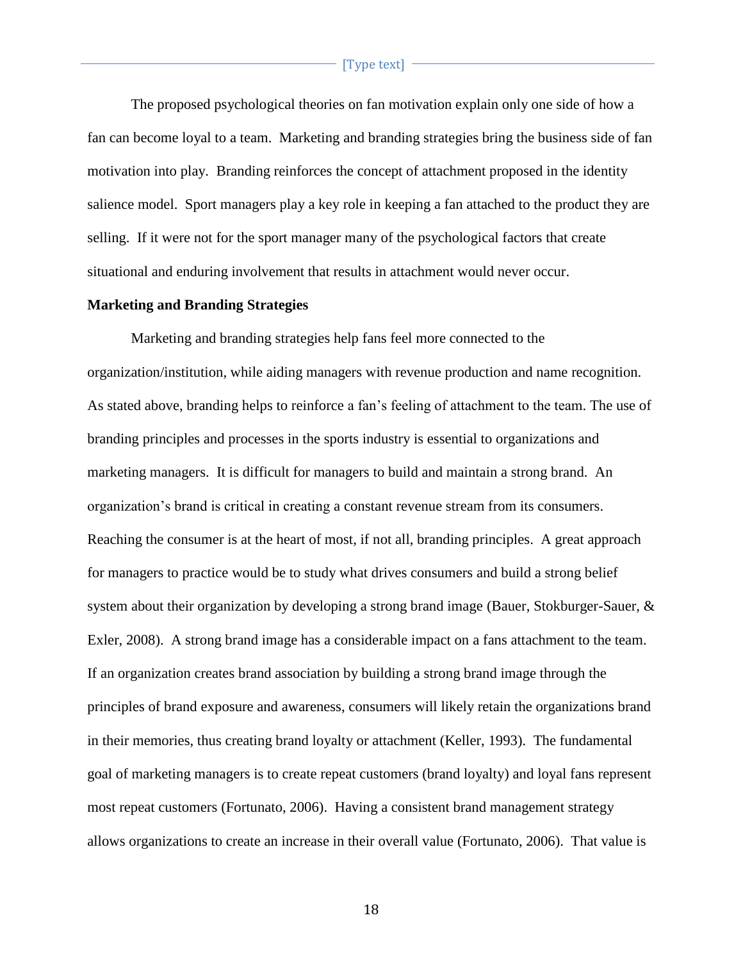The proposed psychological theories on fan motivation explain only one side of how a fan can become loyal to a team. Marketing and branding strategies bring the business side of fan motivation into play. Branding reinforces the concept of attachment proposed in the identity salience model. Sport managers play a key role in keeping a fan attached to the product they are selling. If it were not for the sport manager many of the psychological factors that create situational and enduring involvement that results in attachment would never occur.

#### **Marketing and Branding Strategies**

Marketing and branding strategies help fans feel more connected to the organization/institution, while aiding managers with revenue production and name recognition. As stated above, branding helps to reinforce a fan's feeling of attachment to the team. The use of branding principles and processes in the sports industry is essential to organizations and marketing managers. It is difficult for managers to build and maintain a strong brand. An organization's brand is critical in creating a constant revenue stream from its consumers. Reaching the consumer is at the heart of most, if not all, branding principles. A great approach for managers to practice would be to study what drives consumers and build a strong belief system about their organization by developing a strong brand image (Bauer, Stokburger-Sauer, & Exler, 2008). A strong brand image has a considerable impact on a fans attachment to the team. If an organization creates brand association by building a strong brand image through the principles of brand exposure and awareness, consumers will likely retain the organizations brand in their memories, thus creating brand loyalty or attachment (Keller, 1993). The fundamental goal of marketing managers is to create repeat customers (brand loyalty) and loyal fans represent most repeat customers (Fortunato, 2006). Having a consistent brand management strategy allows organizations to create an increase in their overall value (Fortunato, 2006). That value is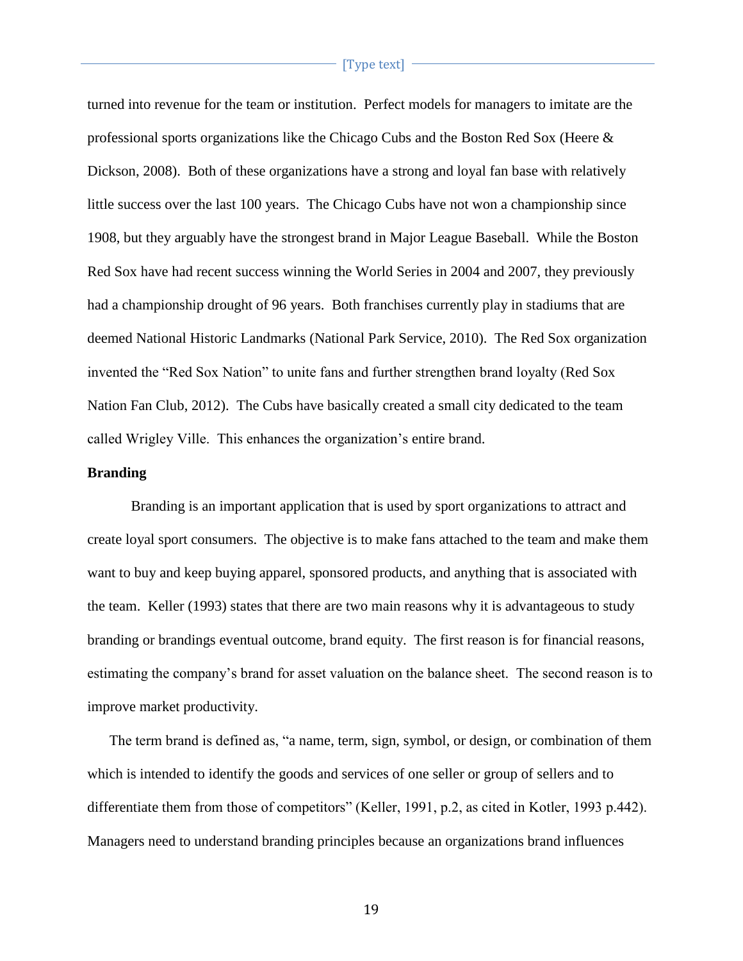turned into revenue for the team or institution. Perfect models for managers to imitate are the professional sports organizations like the Chicago Cubs and the Boston Red Sox (Heere & Dickson, 2008). Both of these organizations have a strong and loyal fan base with relatively little success over the last 100 years. The Chicago Cubs have not won a championship since 1908, but they arguably have the strongest brand in Major League Baseball. While the Boston Red Sox have had recent success winning the World Series in 2004 and 2007, they previously had a championship drought of 96 years. Both franchises currently play in stadiums that are deemed National Historic Landmarks (National Park Service, 2010). The Red Sox organization invented the "Red Sox Nation" to unite fans and further strengthen brand loyalty (Red Sox Nation Fan Club, 2012). The Cubs have basically created a small city dedicated to the team called Wrigley Ville. This enhances the organization's entire brand.

# **Branding**

Branding is an important application that is used by sport organizations to attract and create loyal sport consumers. The objective is to make fans attached to the team and make them want to buy and keep buying apparel, sponsored products, and anything that is associated with the team. Keller (1993) states that there are two main reasons why it is advantageous to study branding or brandings eventual outcome, brand equity. The first reason is for financial reasons, estimating the company's brand for asset valuation on the balance sheet. The second reason is to improve market productivity.

 The term brand is defined as, "a name, term, sign, symbol, or design, or combination of them which is intended to identify the goods and services of one seller or group of sellers and to differentiate them from those of competitors" (Keller, 1991, p.2, as cited in Kotler, 1993 p.442). Managers need to understand branding principles because an organizations brand influences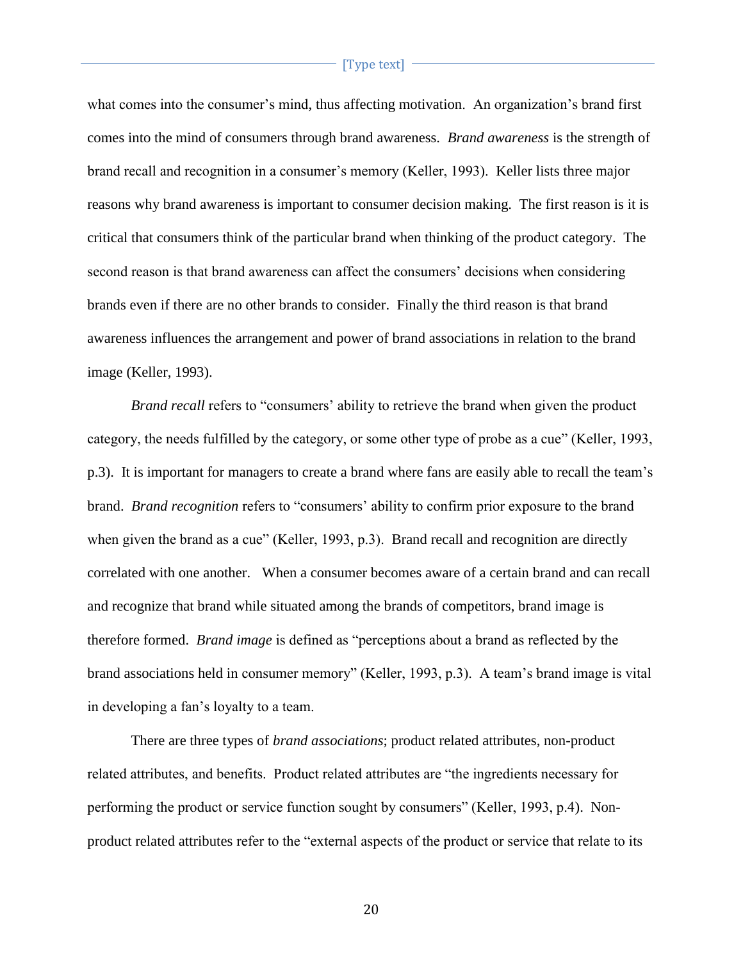what comes into the consumer's mind, thus affecting motivation. An organization's brand first comes into the mind of consumers through brand awareness. *Brand awareness* is the strength of brand recall and recognition in a consumer's memory (Keller, 1993). Keller lists three major reasons why brand awareness is important to consumer decision making. The first reason is it is critical that consumers think of the particular brand when thinking of the product category. The second reason is that brand awareness can affect the consumers' decisions when considering brands even if there are no other brands to consider. Finally the third reason is that brand awareness influences the arrangement and power of brand associations in relation to the brand image (Keller, 1993).

*Brand recall* refers to "consumers' ability to retrieve the brand when given the product category, the needs fulfilled by the category, or some other type of probe as a cue" (Keller, 1993, p.3). It is important for managers to create a brand where fans are easily able to recall the team's brand. *Brand recognition* refers to "consumers' ability to confirm prior exposure to the brand when given the brand as a cue" (Keller, 1993, p.3). Brand recall and recognition are directly correlated with one another. When a consumer becomes aware of a certain brand and can recall and recognize that brand while situated among the brands of competitors, brand image is therefore formed. *Brand image* is defined as "perceptions about a brand as reflected by the brand associations held in consumer memory" (Keller, 1993, p.3). A team's brand image is vital in developing a fan's loyalty to a team.

There are three types of *brand associations*; product related attributes, non-product related attributes, and benefits. Product related attributes are "the ingredients necessary for performing the product or service function sought by consumers" (Keller, 1993, p.4). Nonproduct related attributes refer to the "external aspects of the product or service that relate to its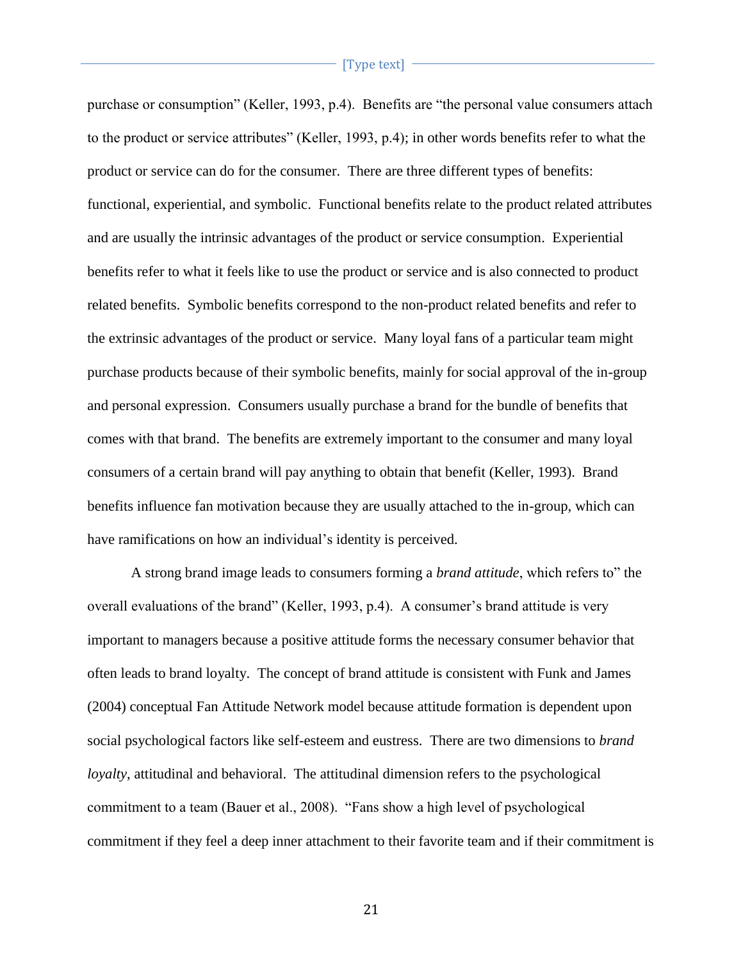purchase or consumption" (Keller, 1993, p.4). Benefits are "the personal value consumers attach to the product or service attributes" (Keller, 1993, p.4); in other words benefits refer to what the product or service can do for the consumer. There are three different types of benefits: functional, experiential, and symbolic. Functional benefits relate to the product related attributes and are usually the intrinsic advantages of the product or service consumption. Experiential benefits refer to what it feels like to use the product or service and is also connected to product related benefits. Symbolic benefits correspond to the non-product related benefits and refer to the extrinsic advantages of the product or service. Many loyal fans of a particular team might purchase products because of their symbolic benefits, mainly for social approval of the in-group and personal expression. Consumers usually purchase a brand for the bundle of benefits that comes with that brand. The benefits are extremely important to the consumer and many loyal consumers of a certain brand will pay anything to obtain that benefit (Keller, 1993). Brand benefits influence fan motivation because they are usually attached to the in-group, which can have ramifications on how an individual's identity is perceived.

A strong brand image leads to consumers forming a *brand attitude*, which refers to" the overall evaluations of the brand" (Keller, 1993, p.4). A consumer's brand attitude is very important to managers because a positive attitude forms the necessary consumer behavior that often leads to brand loyalty. The concept of brand attitude is consistent with Funk and James (2004) conceptual Fan Attitude Network model because attitude formation is dependent upon social psychological factors like self-esteem and eustress. There are two dimensions to *brand loyalty*, attitudinal and behavioral. The attitudinal dimension refers to the psychological commitment to a team (Bauer et al., 2008). "Fans show a high level of psychological commitment if they feel a deep inner attachment to their favorite team and if their commitment is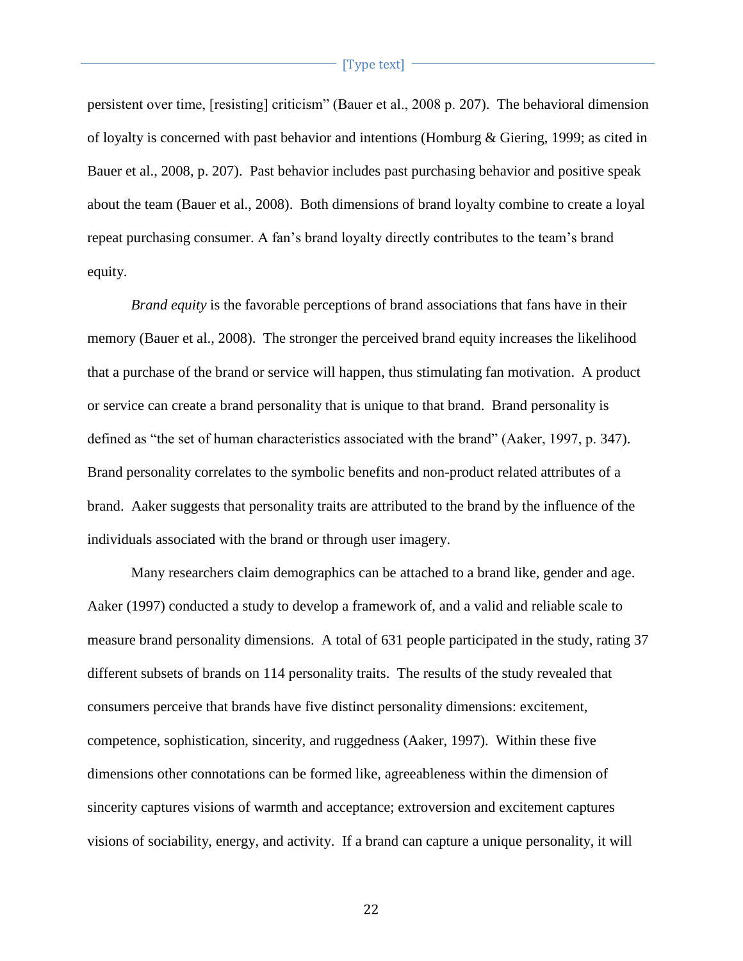persistent over time, [resisting] criticism" (Bauer et al., 2008 p. 207). The behavioral dimension of loyalty is concerned with past behavior and intentions (Homburg  $\&$  Giering, 1999; as cited in Bauer et al., 2008, p. 207). Past behavior includes past purchasing behavior and positive speak about the team (Bauer et al., 2008). Both dimensions of brand loyalty combine to create a loyal repeat purchasing consumer. A fan's brand loyalty directly contributes to the team's brand equity.

 *Brand equity* is the favorable perceptions of brand associations that fans have in their memory (Bauer et al., 2008). The stronger the perceived brand equity increases the likelihood that a purchase of the brand or service will happen, thus stimulating fan motivation. A product or service can create a brand personality that is unique to that brand. Brand personality is defined as "the set of human characteristics associated with the brand" (Aaker, 1997, p. 347). Brand personality correlates to the symbolic benefits and non-product related attributes of a brand. Aaker suggests that personality traits are attributed to the brand by the influence of the individuals associated with the brand or through user imagery.

Many researchers claim demographics can be attached to a brand like, gender and age. Aaker (1997) conducted a study to develop a framework of, and a valid and reliable scale to measure brand personality dimensions. A total of 631 people participated in the study, rating 37 different subsets of brands on 114 personality traits. The results of the study revealed that consumers perceive that brands have five distinct personality dimensions: excitement, competence, sophistication, sincerity, and ruggedness (Aaker, 1997). Within these five dimensions other connotations can be formed like, agreeableness within the dimension of sincerity captures visions of warmth and acceptance; extroversion and excitement captures visions of sociability, energy, and activity. If a brand can capture a unique personality, it will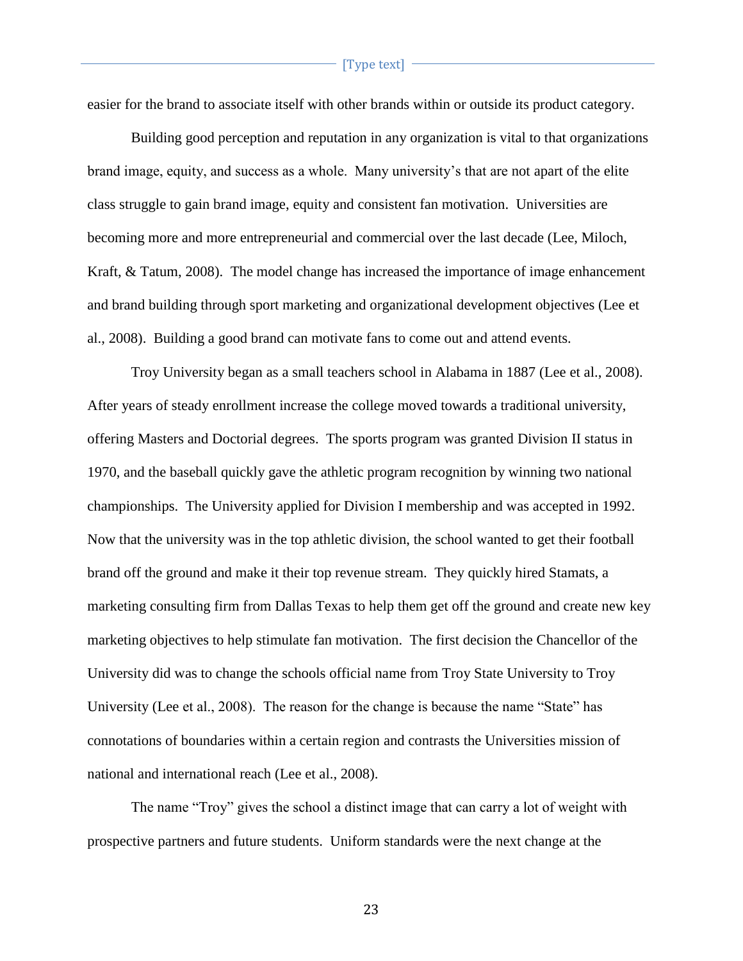easier for the brand to associate itself with other brands within or outside its product category.

Building good perception and reputation in any organization is vital to that organizations brand image, equity, and success as a whole. Many university's that are not apart of the elite class struggle to gain brand image, equity and consistent fan motivation. Universities are becoming more and more entrepreneurial and commercial over the last decade (Lee, Miloch, Kraft, & Tatum, 2008). The model change has increased the importance of image enhancement and brand building through sport marketing and organizational development objectives (Lee et al., 2008). Building a good brand can motivate fans to come out and attend events.

Troy University began as a small teachers school in Alabama in 1887 (Lee et al., 2008). After years of steady enrollment increase the college moved towards a traditional university, offering Masters and Doctorial degrees. The sports program was granted Division II status in 1970, and the baseball quickly gave the athletic program recognition by winning two national championships. The University applied for Division I membership and was accepted in 1992. Now that the university was in the top athletic division, the school wanted to get their football brand off the ground and make it their top revenue stream. They quickly hired Stamats, a marketing consulting firm from Dallas Texas to help them get off the ground and create new key marketing objectives to help stimulate fan motivation. The first decision the Chancellor of the University did was to change the schools official name from Troy State University to Troy University (Lee et al., 2008). The reason for the change is because the name "State" has connotations of boundaries within a certain region and contrasts the Universities mission of national and international reach (Lee et al., 2008).

The name "Troy" gives the school a distinct image that can carry a lot of weight with prospective partners and future students. Uniform standards were the next change at the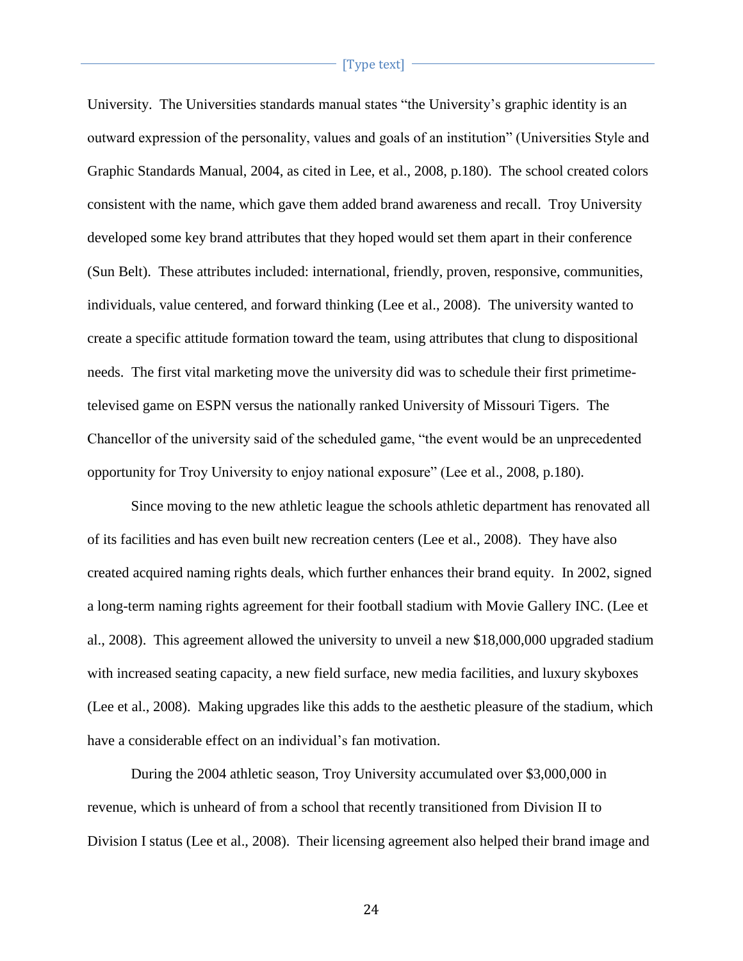University. The Universities standards manual states "the University's graphic identity is an outward expression of the personality, values and goals of an institution" (Universities Style and Graphic Standards Manual, 2004, as cited in Lee, et al., 2008, p.180). The school created colors consistent with the name, which gave them added brand awareness and recall. Troy University developed some key brand attributes that they hoped would set them apart in their conference (Sun Belt). These attributes included: international, friendly, proven, responsive, communities, individuals, value centered, and forward thinking (Lee et al., 2008). The university wanted to create a specific attitude formation toward the team, using attributes that clung to dispositional needs. The first vital marketing move the university did was to schedule their first primetimetelevised game on ESPN versus the nationally ranked University of Missouri Tigers. The Chancellor of the university said of the scheduled game, "the event would be an unprecedented opportunity for Troy University to enjoy national exposure" (Lee et al., 2008, p.180).

Since moving to the new athletic league the schools athletic department has renovated all of its facilities and has even built new recreation centers (Lee et al., 2008). They have also created acquired naming rights deals, which further enhances their brand equity. In 2002, signed a long-term naming rights agreement for their football stadium with Movie Gallery INC. (Lee et al., 2008). This agreement allowed the university to unveil a new \$18,000,000 upgraded stadium with increased seating capacity, a new field surface, new media facilities, and luxury skyboxes (Lee et al., 2008). Making upgrades like this adds to the aesthetic pleasure of the stadium, which have a considerable effect on an individual's fan motivation.

During the 2004 athletic season, Troy University accumulated over \$3,000,000 in revenue, which is unheard of from a school that recently transitioned from Division II to Division I status (Lee et al., 2008). Their licensing agreement also helped their brand image and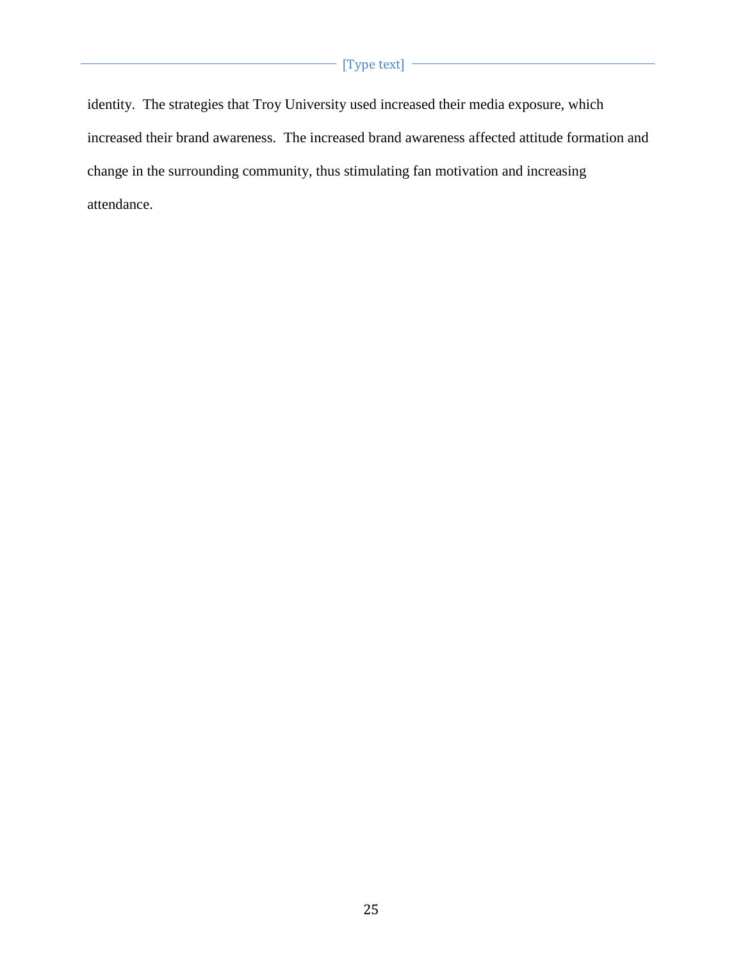identity. The strategies that Troy University used increased their media exposure, which increased their brand awareness. The increased brand awareness affected attitude formation and change in the surrounding community, thus stimulating fan motivation and increasing attendance.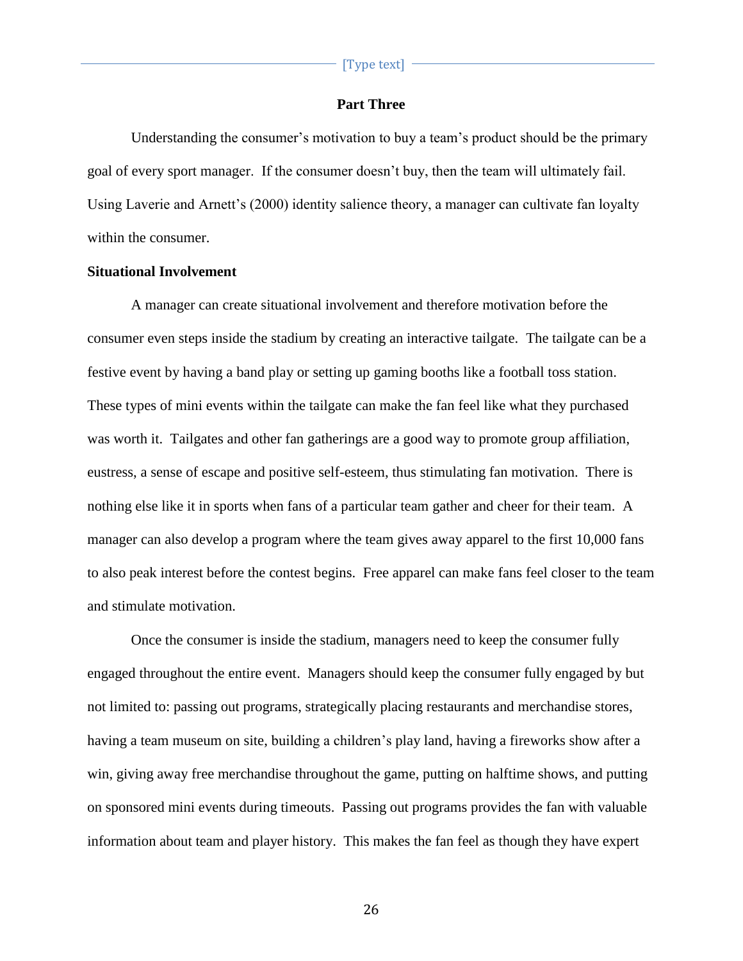# **Part Three**

Understanding the consumer's motivation to buy a team's product should be the primary goal of every sport manager. If the consumer doesn't buy, then the team will ultimately fail. Using Laverie and Arnett's (2000) identity salience theory, a manager can cultivate fan loyalty within the consumer.

#### **Situational Involvement**

A manager can create situational involvement and therefore motivation before the consumer even steps inside the stadium by creating an interactive tailgate. The tailgate can be a festive event by having a band play or setting up gaming booths like a football toss station. These types of mini events within the tailgate can make the fan feel like what they purchased was worth it. Tailgates and other fan gatherings are a good way to promote group affiliation, eustress, a sense of escape and positive self-esteem, thus stimulating fan motivation. There is nothing else like it in sports when fans of a particular team gather and cheer for their team. A manager can also develop a program where the team gives away apparel to the first 10,000 fans to also peak interest before the contest begins. Free apparel can make fans feel closer to the team and stimulate motivation.

Once the consumer is inside the stadium, managers need to keep the consumer fully engaged throughout the entire event. Managers should keep the consumer fully engaged by but not limited to: passing out programs, strategically placing restaurants and merchandise stores, having a team museum on site, building a children's play land, having a fireworks show after a win, giving away free merchandise throughout the game, putting on halftime shows, and putting on sponsored mini events during timeouts. Passing out programs provides the fan with valuable information about team and player history. This makes the fan feel as though they have expert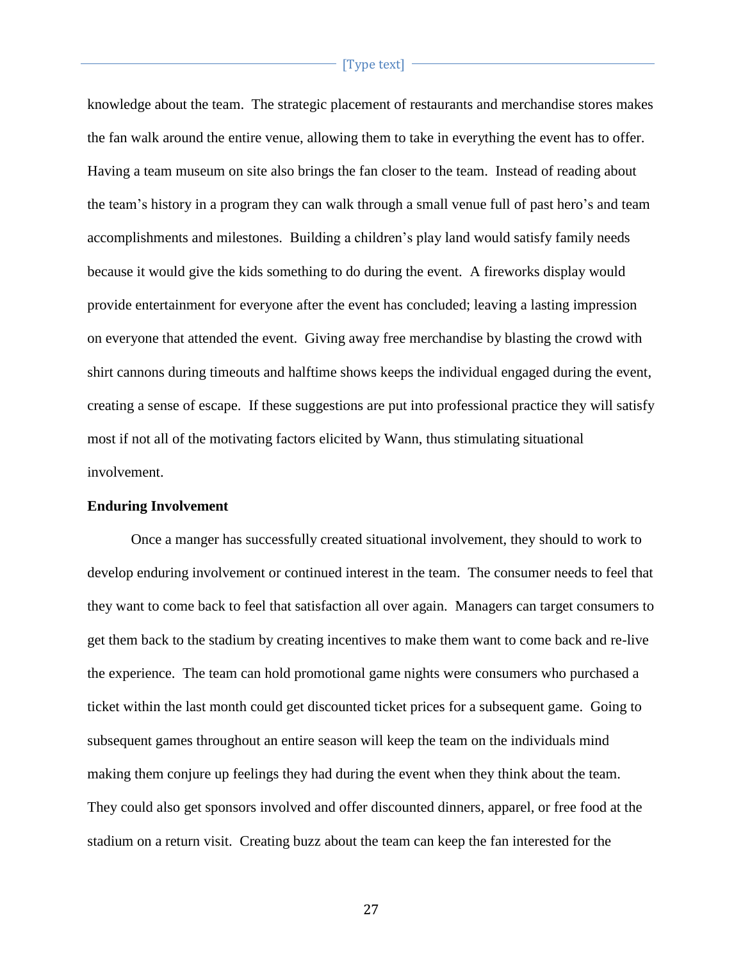knowledge about the team. The strategic placement of restaurants and merchandise stores makes the fan walk around the entire venue, allowing them to take in everything the event has to offer. Having a team museum on site also brings the fan closer to the team. Instead of reading about the team's history in a program they can walk through a small venue full of past hero's and team accomplishments and milestones. Building a children's play land would satisfy family needs because it would give the kids something to do during the event. A fireworks display would provide entertainment for everyone after the event has concluded; leaving a lasting impression on everyone that attended the event. Giving away free merchandise by blasting the crowd with shirt cannons during timeouts and halftime shows keeps the individual engaged during the event, creating a sense of escape. If these suggestions are put into professional practice they will satisfy most if not all of the motivating factors elicited by Wann, thus stimulating situational involvement.

# **Enduring Involvement**

Once a manger has successfully created situational involvement, they should to work to develop enduring involvement or continued interest in the team. The consumer needs to feel that they want to come back to feel that satisfaction all over again. Managers can target consumers to get them back to the stadium by creating incentives to make them want to come back and re-live the experience. The team can hold promotional game nights were consumers who purchased a ticket within the last month could get discounted ticket prices for a subsequent game. Going to subsequent games throughout an entire season will keep the team on the individuals mind making them conjure up feelings they had during the event when they think about the team. They could also get sponsors involved and offer discounted dinners, apparel, or free food at the stadium on a return visit. Creating buzz about the team can keep the fan interested for the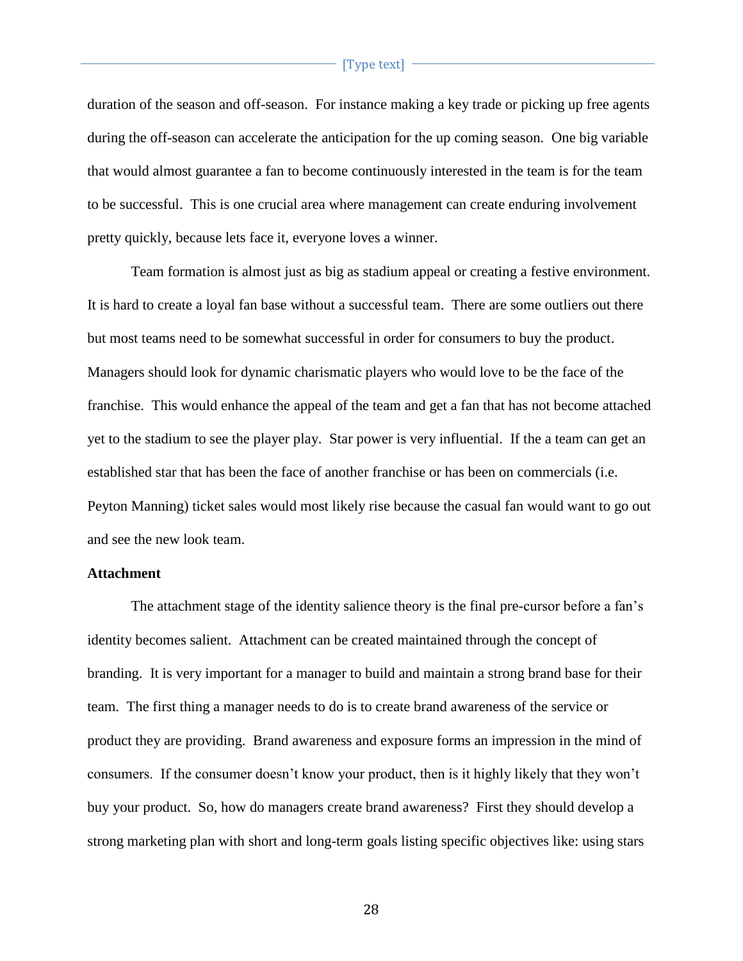duration of the season and off-season. For instance making a key trade or picking up free agents during the off-season can accelerate the anticipation for the up coming season. One big variable that would almost guarantee a fan to become continuously interested in the team is for the team to be successful. This is one crucial area where management can create enduring involvement pretty quickly, because lets face it, everyone loves a winner.

Team formation is almost just as big as stadium appeal or creating a festive environment. It is hard to create a loyal fan base without a successful team. There are some outliers out there but most teams need to be somewhat successful in order for consumers to buy the product. Managers should look for dynamic charismatic players who would love to be the face of the franchise. This would enhance the appeal of the team and get a fan that has not become attached yet to the stadium to see the player play. Star power is very influential. If the a team can get an established star that has been the face of another franchise or has been on commercials (i.e. Peyton Manning) ticket sales would most likely rise because the casual fan would want to go out and see the new look team.

# **Attachment**

The attachment stage of the identity salience theory is the final pre-cursor before a fan's identity becomes salient. Attachment can be created maintained through the concept of branding. It is very important for a manager to build and maintain a strong brand base for their team. The first thing a manager needs to do is to create brand awareness of the service or product they are providing. Brand awareness and exposure forms an impression in the mind of consumers. If the consumer doesn't know your product, then is it highly likely that they won't buy your product. So, how do managers create brand awareness? First they should develop a strong marketing plan with short and long-term goals listing specific objectives like: using stars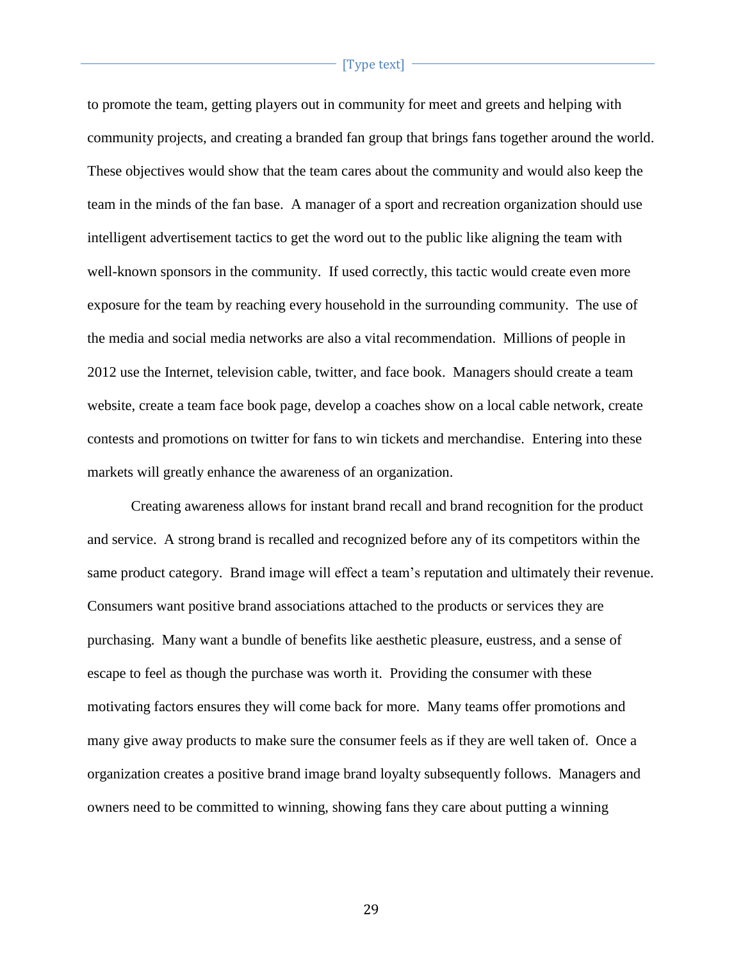to promote the team, getting players out in community for meet and greets and helping with community projects, and creating a branded fan group that brings fans together around the world. These objectives would show that the team cares about the community and would also keep the team in the minds of the fan base. A manager of a sport and recreation organization should use intelligent advertisement tactics to get the word out to the public like aligning the team with well-known sponsors in the community. If used correctly, this tactic would create even more exposure for the team by reaching every household in the surrounding community. The use of the media and social media networks are also a vital recommendation. Millions of people in 2012 use the Internet, television cable, twitter, and face book. Managers should create a team website, create a team face book page, develop a coaches show on a local cable network, create contests and promotions on twitter for fans to win tickets and merchandise. Entering into these markets will greatly enhance the awareness of an organization.

Creating awareness allows for instant brand recall and brand recognition for the product and service. A strong brand is recalled and recognized before any of its competitors within the same product category. Brand image will effect a team's reputation and ultimately their revenue. Consumers want positive brand associations attached to the products or services they are purchasing. Many want a bundle of benefits like aesthetic pleasure, eustress, and a sense of escape to feel as though the purchase was worth it. Providing the consumer with these motivating factors ensures they will come back for more. Many teams offer promotions and many give away products to make sure the consumer feels as if they are well taken of. Once a organization creates a positive brand image brand loyalty subsequently follows. Managers and owners need to be committed to winning, showing fans they care about putting a winning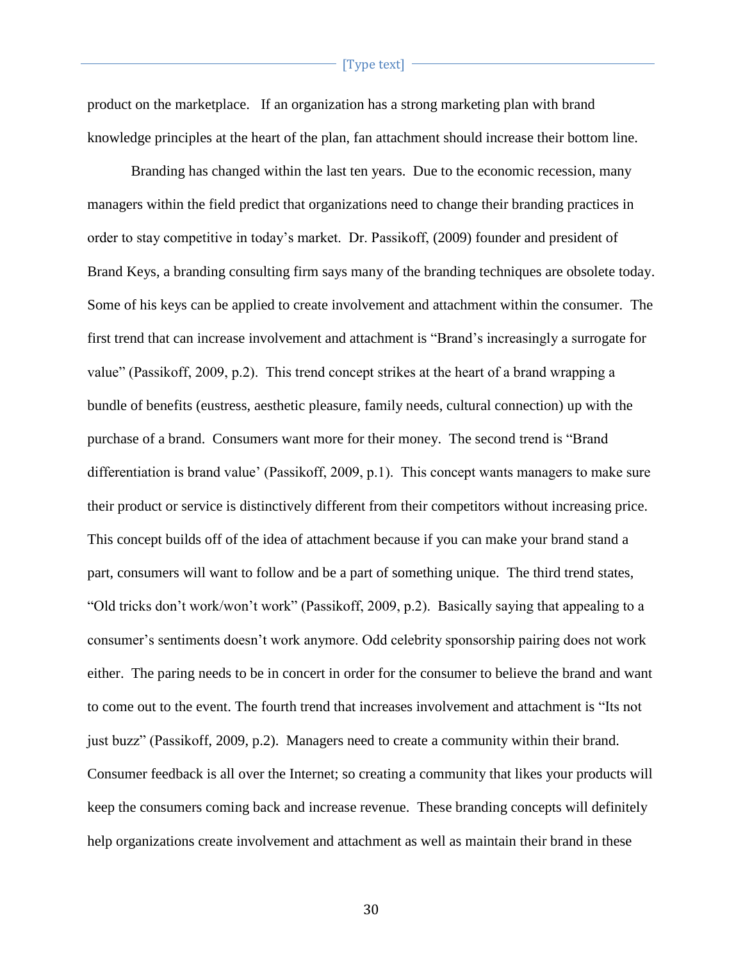product on the marketplace. If an organization has a strong marketing plan with brand knowledge principles at the heart of the plan, fan attachment should increase their bottom line.

Branding has changed within the last ten years. Due to the economic recession, many managers within the field predict that organizations need to change their branding practices in order to stay competitive in today's market. Dr. Passikoff, (2009) founder and president of Brand Keys, a branding consulting firm says many of the branding techniques are obsolete today. Some of his keys can be applied to create involvement and attachment within the consumer. The first trend that can increase involvement and attachment is "Brand's increasingly a surrogate for value" (Passikoff, 2009, p.2). This trend concept strikes at the heart of a brand wrapping a bundle of benefits (eustress, aesthetic pleasure, family needs, cultural connection) up with the purchase of a brand. Consumers want more for their money. The second trend is "Brand differentiation is brand value' (Passikoff, 2009, p.1). This concept wants managers to make sure their product or service is distinctively different from their competitors without increasing price. This concept builds off of the idea of attachment because if you can make your brand stand a part, consumers will want to follow and be a part of something unique. The third trend states, "Old tricks don't work/won't work" (Passikoff, 2009, p.2). Basically saying that appealing to a consumer's sentiments doesn't work anymore. Odd celebrity sponsorship pairing does not work either. The paring needs to be in concert in order for the consumer to believe the brand and want to come out to the event. The fourth trend that increases involvement and attachment is "Its not just buzz" (Passikoff, 2009, p.2). Managers need to create a community within their brand. Consumer feedback is all over the Internet; so creating a community that likes your products will keep the consumers coming back and increase revenue. These branding concepts will definitely help organizations create involvement and attachment as well as maintain their brand in these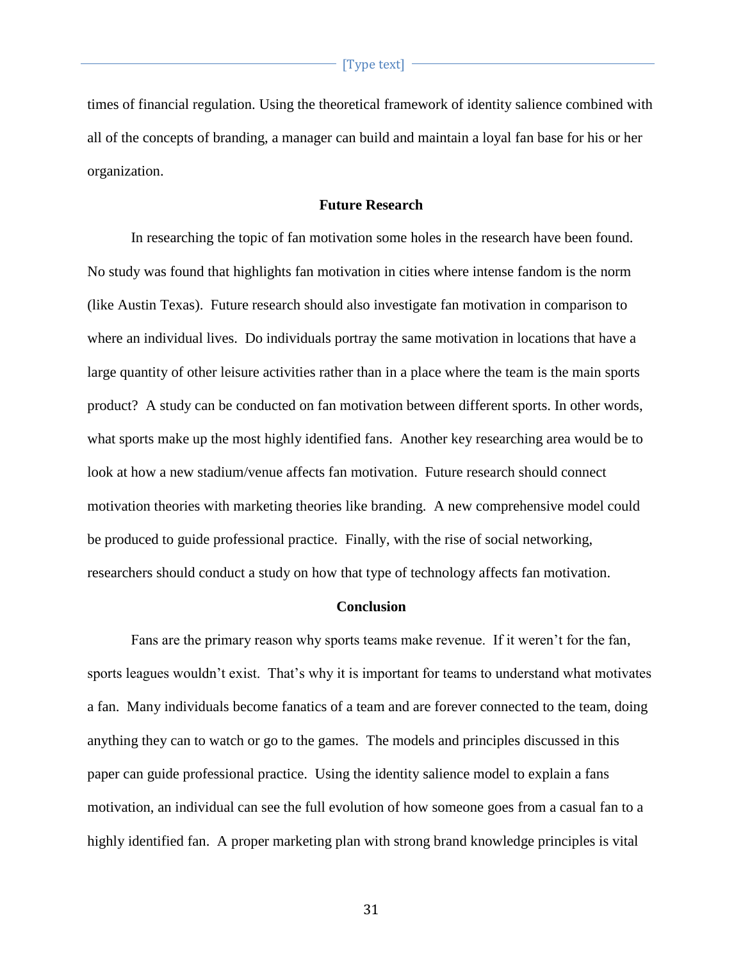times of financial regulation. Using the theoretical framework of identity salience combined with all of the concepts of branding, a manager can build and maintain a loyal fan base for his or her organization.

#### **Future Research**

In researching the topic of fan motivation some holes in the research have been found. No study was found that highlights fan motivation in cities where intense fandom is the norm (like Austin Texas). Future research should also investigate fan motivation in comparison to where an individual lives. Do individuals portray the same motivation in locations that have a large quantity of other leisure activities rather than in a place where the team is the main sports product? A study can be conducted on fan motivation between different sports. In other words, what sports make up the most highly identified fans. Another key researching area would be to look at how a new stadium/venue affects fan motivation. Future research should connect motivation theories with marketing theories like branding. A new comprehensive model could be produced to guide professional practice. Finally, with the rise of social networking, researchers should conduct a study on how that type of technology affects fan motivation.

# **Conclusion**

Fans are the primary reason why sports teams make revenue. If it weren't for the fan, sports leagues wouldn't exist. That's why it is important for teams to understand what motivates a fan. Many individuals become fanatics of a team and are forever connected to the team, doing anything they can to watch or go to the games. The models and principles discussed in this paper can guide professional practice. Using the identity salience model to explain a fans motivation, an individual can see the full evolution of how someone goes from a casual fan to a highly identified fan. A proper marketing plan with strong brand knowledge principles is vital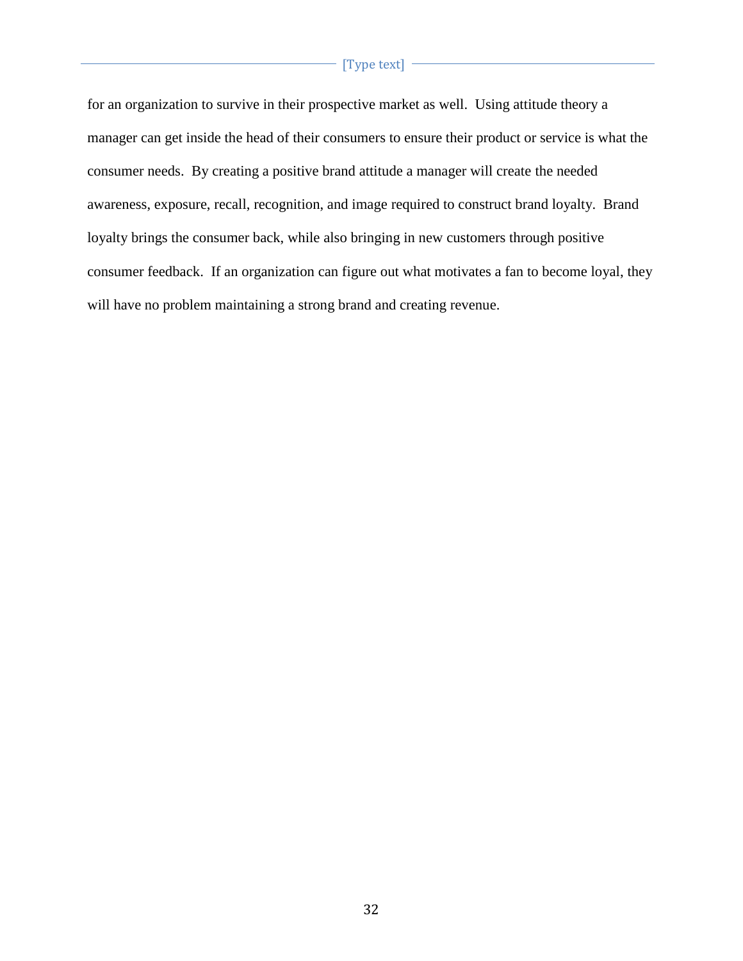for an organization to survive in their prospective market as well. Using attitude theory a manager can get inside the head of their consumers to ensure their product or service is what the consumer needs. By creating a positive brand attitude a manager will create the needed awareness, exposure, recall, recognition, and image required to construct brand loyalty. Brand loyalty brings the consumer back, while also bringing in new customers through positive consumer feedback. If an organization can figure out what motivates a fan to become loyal, they will have no problem maintaining a strong brand and creating revenue.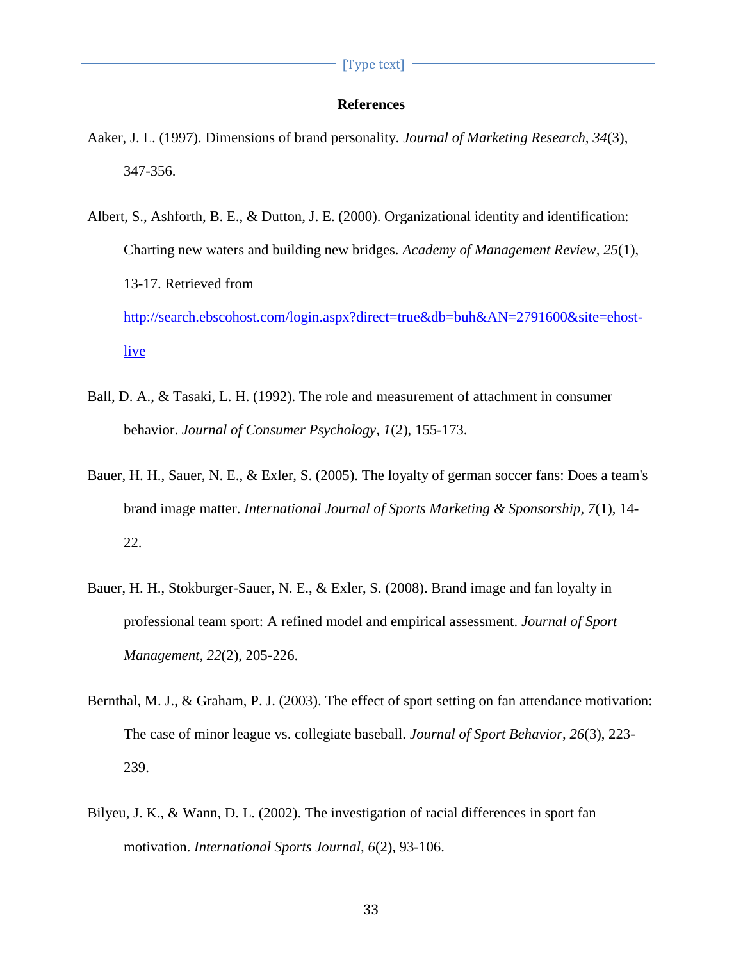# **References**

- Aaker, J. L. (1997). Dimensions of brand personality. *Journal of Marketing Research, 34*(3), 347-356.
- Albert, S., Ashforth, B. E., & Dutton, J. E. (2000). Organizational identity and identification: Charting new waters and building new bridges. *Academy of Management Review, 25*(1), 13-17. Retrieved from [http://search.ebscohost.com/login.aspx?direct=true&db=buh&AN=2791600&site=ehost](http://search.ebscohost.com/login.aspx?direct=true&db=buh&AN=2791600&site=ehost-live)[live](http://search.ebscohost.com/login.aspx?direct=true&db=buh&AN=2791600&site=ehost-live)
- Ball, D. A., & Tasaki, L. H. (1992). The role and measurement of attachment in consumer behavior. *Journal of Consumer Psychology, 1*(2), 155-173.
- Bauer, H. H., Sauer, N. E., & Exler, S. (2005). The loyalty of german soccer fans: Does a team's brand image matter. *International Journal of Sports Marketing & Sponsorship, 7*(1), 14- 22.
- Bauer, H. H., Stokburger-Sauer, N. E., & Exler, S. (2008). Brand image and fan loyalty in professional team sport: A refined model and empirical assessment. *Journal of Sport Management, 22*(2), 205-226.
- Bernthal, M. J., & Graham, P. J. (2003). The effect of sport setting on fan attendance motivation: The case of minor league vs. collegiate baseball. *Journal of Sport Behavior, 26*(3), 223- 239.
- Bilyeu, J. K., & Wann, D. L. (2002). The investigation of racial differences in sport fan motivation. *International Sports Journal, 6*(2), 93-106.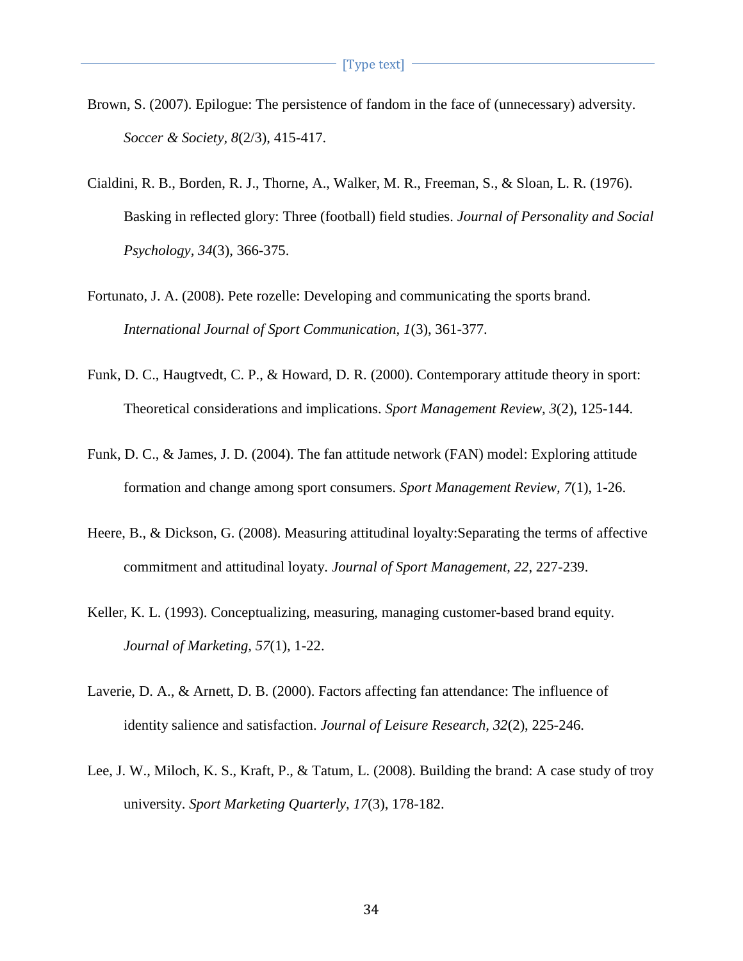- Brown, S. (2007). Epilogue: The persistence of fandom in the face of (unnecessary) adversity. *Soccer & Society, 8*(2/3), 415-417.
- Cialdini, R. B., Borden, R. J., Thorne, A., Walker, M. R., Freeman, S., & Sloan, L. R. (1976). Basking in reflected glory: Three (football) field studies. *Journal of Personality and Social Psychology, 34*(3), 366-375.
- Fortunato, J. A. (2008). Pete rozelle: Developing and communicating the sports brand. *International Journal of Sport Communication, 1*(3), 361-377.
- Funk, D. C., Haugtvedt, C. P., & Howard, D. R. (2000). Contemporary attitude theory in sport: Theoretical considerations and implications. *Sport Management Review, 3*(2), 125-144.
- Funk, D. C., & James, J. D. (2004). The fan attitude network (FAN) model: Exploring attitude formation and change among sport consumers. *Sport Management Review, 7*(1), 1-26.
- Heere, B., & Dickson, G. (2008). Measuring attitudinal loyalty:Separating the terms of affective commitment and attitudinal loyaty. *Journal of Sport Management, 22*, 227-239.
- Keller, K. L. (1993). Conceptualizing, measuring, managing customer-based brand equity. *Journal of Marketing, 57*(1), 1-22.
- Laverie, D. A., & Arnett, D. B. (2000). Factors affecting fan attendance: The influence of identity salience and satisfaction. *Journal of Leisure Research, 32*(2), 225-246.
- Lee, J. W., Miloch, K. S., Kraft, P., & Tatum, L. (2008). Building the brand: A case study of troy university. *Sport Marketing Quarterly, 17*(3), 178-182.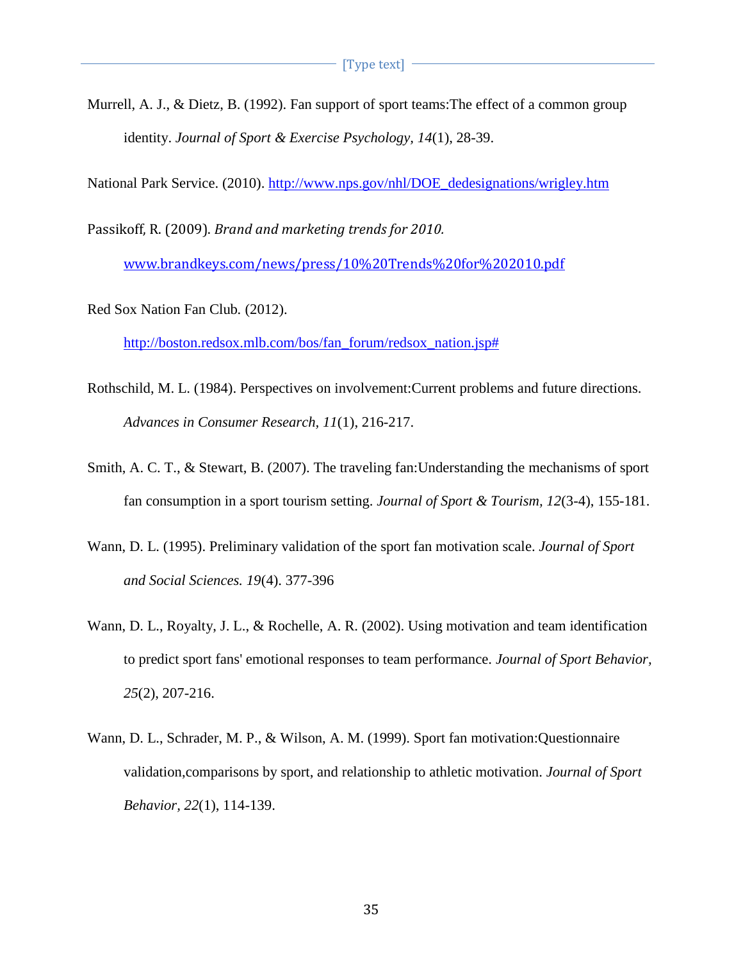Murrell, A. J., & Dietz, B. (1992). Fan support of sport teams:The effect of a common group identity. *Journal of Sport & Exercise Psychology, 14*(1), 28-39.

National Park Service. (2010). [http://www.nps.gov/nhl/DOE\\_dedesignations/wrigley.htm](http://www.nps.gov/nhl/DOE_dedesignations/wrigley.htm)

Passikoff, R. (2009). *Brand and marketing trends for 2010.*

[www.brandkeys.com/news/press/10%20Trends%20for%202010.pdf](http://www.brandkeys.com/news/press/10%20Trends%20for%202010.pdf)

Red Sox Nation Fan Club*.* (2012).

[http://boston.redsox.mlb.com/bos/fan\\_forum/redsox\\_nation.jsp#](http://boston.redsox.mlb.com/bos/fan_forum/redsox_nation.jsp)

- Rothschild, M. L. (1984). Perspectives on involvement:Current problems and future directions. *Advances in Consumer Research, 11*(1), 216-217.
- Smith, A. C. T., & Stewart, B. (2007). The traveling fan:Understanding the mechanisms of sport fan consumption in a sport tourism setting. *Journal of Sport & Tourism, 12*(3-4), 155-181.
- Wann, D. L. (1995). Preliminary validation of the sport fan motivation scale. *Journal of Sport and Social Sciences. 19*(4). 377-396
- Wann, D. L., Royalty, J. L., & Rochelle, A. R. (2002). Using motivation and team identification to predict sport fans' emotional responses to team performance. *Journal of Sport Behavior, 25*(2), 207-216.
- Wann, D. L., Schrader, M. P., & Wilson, A. M. (1999). Sport fan motivation:Questionnaire validation,comparisons by sport, and relationship to athletic motivation. *Journal of Sport Behavior, 22*(1), 114-139.